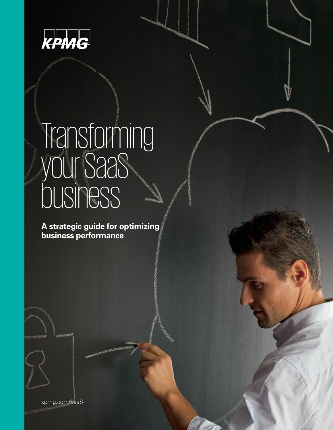

# Transforming your SaaS business

**A strategic guide for optimizing business performance**

**CENTROLOGISHACH** 

kpmg.com/SaaS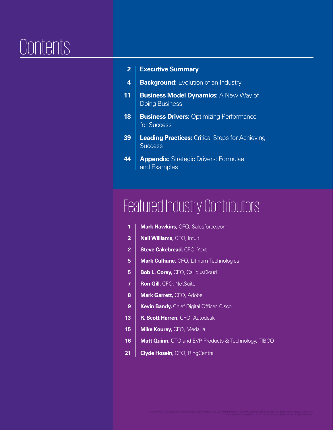# **Contents**

|  | <b>Executive Summary</b> |
|--|--------------------------|
|--|--------------------------|

- **4 Background:** Evolution of an Industry
- **11 Business Model Dynamics: A New Way of** Doing Business
- **18 Business Drivers: Optimizing Performance** for Success
- **39 Leading Practices:** Critical Steps for Achieving **Success**
- **44 | Appendix:** Strategic Drivers: Formulae and Examples

# Featured Industry Contributors

- **1** | Mark Hawkins, CFO, Salesforce.com
- **2** | **Neil Williams, CFO, Intuit**
- **2** Steve Cakebread, CFO, Yext
- **5 Mark Culhane, CFO, Lithium Technologies**
- **5 Bob L. Corey, CFO, CallidusCloud**
- **7** Ron Gill, CFO, NetSuite
- 8 | Mark Garrett, CFO, Adobe
- **9** Kevin Bandy, Chief Digital Officer, Cisco
- **13 R. Scott Herren, CFO, Autodesk**
- **15 Mike Kourey, CFO, Medallia**
- **16 Matt Quinn, CTO and EVP Products & Technology, TIBCO**
- **21 Clyde Hosein, CFO, RingCentral**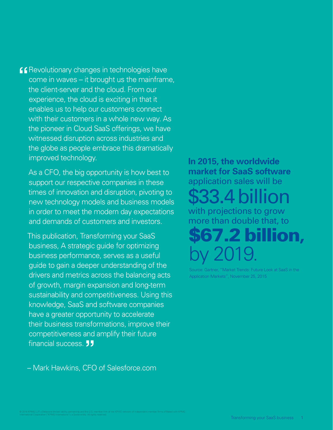Revolutionary changes in technologies have  $cone$  in waves  $-$  it brought us the mainframe, the client-server and the cloud. From our experience, the cloud is exciting in that it enables us to help our customers connect with their customers in a whole new way. As the pioneer in Cloud SaaS offerings, we have witnessed disruption across industries and the globe as people embrace this dramatically improved technology. **"**

As a CFO, the big opportunity is how best to support our respective companies in these times of innovation and disruption, pivoting to new technology models and business models in order to meet the modern day expectations and demands of customers and investors.

This publication, Transforming your SaaS business, A strategic guide for optimizing business performance, serves as a useful guide to gain a deeper understanding of the drivers and metrics across the balancing acts of growth, margin expansion and long-term sustainability and competitiveness. Using this knowledge, SaaS and software companies have a greater opportunity to accelerate their business transformations, improve their competitiveness and amplify their future financial success. **"**

– Mark Hawkins, CFO of Salesforce.com

# **In 2015, the worldwide market for SaaS software**  application sales will be with projections to grow more than double that, to \$33.4 billion

\$67.2 billion**,** by 2019.

Gartner, "Market Trends: Future Look at SaaS in the Application Markets", November 25, 2015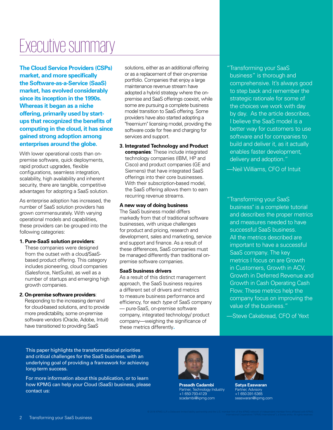# Executive summary

**The Cloud Service Providers (CSPs) market, and more specifically the Software-as-a-Service (SaaS) market, has evolved considerably since its inception in the 1990s. Whereas it began as a niche offering, primarily used by startups that recognized the benefits of computing in the cloud, it has since gained strong adoption among enterprises around the globe.** 

With lower operational costs than onpremise software, quick deployments, rapid product upgrades, flexible configurations, seamless integration, scalability, high availability and inherent security, there are tangible, competitive advantages for adopting a SaaS solution.

As enterprise adoption has increased, the number of SaaS solution providers has grown commensurately. With varying operational models and capabilities, these providers can be grouped into the following categories:

#### **1. Pure-SaaS solution providers**:

These companies were designed from the outset with a cloud/SaaSbased product offering. This category includes pioneering, cloud companies (Salesforce, NetSuite), as well as a number of startups and emerging high growth companies.

**2. On-premise software providers**: Responding to the increasing demand for cloud-based solutions, and to provide more predictability, some on-premise software vendors (Oracle, Adobe, Intuit) have transitioned to providing SaaS

solutions, either as an additional offering or as a replacement of their on-premise portfolio. Companies that enjoy a large maintenance revenue stream have adopted a hybrid strategy where the onpremise and SaaS offerings coexist, while some are pursuing a complete business model transition to SaaS offering. Some providers have also started adopting a "freemium" licensing model, providing the software code for free and charging for services and support.

**3. Integrated Technology and Product companies**: These include integrated technology companies (IBM, HP and Cisco) and product companies (GE and Siemens) that have integrated SaaS offerings into their core businesses. With their subscription-based model, the SaaS offering allows them to earn recurring revenue streams.

### **A new way of doing business**

The SaaS business model differs markedly from that of traditional software businesses, with unique challenges for product and pricing, research and development, sales and marketing, service and support and finance. As a result of these differences, SaaS companies must be managed differently than traditional onpremise software companies.

### **SaaS business drivers**

As a result of this distinct management approach, the SaaS business requires a different set of drivers and metrics to measure business performance and efficiency, for each type of SaaS company — pure-SaaS, on-premise software company, integrated technology/ product company—weighing the significance of these metrics differently**.**

" Transforming your SaaS business" is thorough and comprehensive. It's always good to step back and remember the strategic rationale for some of the choices we work with day by day. As the article describes, I believe the SaaS model is a better way for customers to use software and for companies to build and deliver it, as it actually enables faster development, delivery and adoption."

—Neil Williams, CFO of Intuit

" Transforming your SaaS business" is a complete tutorial and describes the proper metrics and measures needed to have successful SaaS business. All the metrics described are important to have a successful SaaS company. The key metrics I focus on are Growth in Customers, Growth in ACV, Growth in Deferred Revenue and Growth in Cash Operating Cash Flow. These metrics help the company focus on improving the value of the business."

—Steve Cakebread, CFO of Yext

This paper highlights the transformational priorities and critical challenges for the SaaS business, with an underlying goal of providing a framework for achieving long-term success.

For more information about this publication, or to learn how KPMG can help your Cloud (SaaS) business, please contact us:



**Prasadh Cadambi** Partner, Technology Industry +1 650-793-4129 scadambi@kpmg.com



**Satya Easwaran** Partner, Advisory +1 650-391-5365 seaswaran@kpmg.com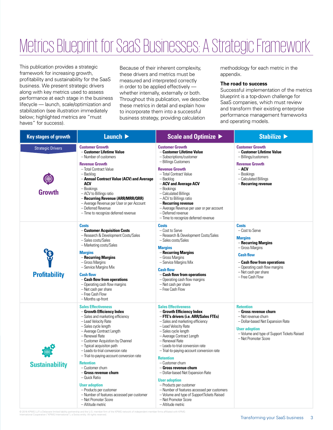# Metrics Blueprint for SaaS Businesses: A Strategic Framework

This publication provides a strategic framework for increasing growth, profitability and sustainability for the SaaS business. We present strategic drivers along with key metrics used to assess performance at each stage in the business lifecycle — launch, scale/optimization and stabilization (see illustration immediately below; highlighted metrics are "must haves" for success).

Because of their inherent complexity, these drivers and metrics must be measured and interpreted correctly in order to be applied effectively whether internally, externally or both. Throughout this publication, we describe these metrics in detail and explain how to incorporate them into a successful business strategy, providing calculation

methodology for each metric in the appendix.

#### **The road to success**

Successful implementation of the metrics blueprint is a top-down challenge for SaaS companies, which must review and transform their existing enterprise performance management frameworks and operating models.

| <b>Key stages of growth</b>               | Launch D                                                                                                                                                                                                                                                                                                                                                                                                                                                                                                                                                                     | <b>Scale and Optimize ▶</b>                                                                                                                                                                                                                                                                                                                                                                                                                                                                                                                                                                                               | Stabilize $\blacktriangleright$                                                                                                                                                                                             |
|-------------------------------------------|------------------------------------------------------------------------------------------------------------------------------------------------------------------------------------------------------------------------------------------------------------------------------------------------------------------------------------------------------------------------------------------------------------------------------------------------------------------------------------------------------------------------------------------------------------------------------|---------------------------------------------------------------------------------------------------------------------------------------------------------------------------------------------------------------------------------------------------------------------------------------------------------------------------------------------------------------------------------------------------------------------------------------------------------------------------------------------------------------------------------------------------------------------------------------------------------------------------|-----------------------------------------------------------------------------------------------------------------------------------------------------------------------------------------------------------------------------|
| <b>Strategic Drivers</b><br><b>Growth</b> | <b>Customer Growth</b><br>- Customer Lifetime Value<br>- Number of customers<br><b>Revenue Growth</b><br>- Total Contract Value<br>– Backlog<br>- Annual Contract Value (ACV) and Average<br><b>ACV</b><br>- Bookings<br>- ACV to Billings ratio<br>- Recurring Revenue (ARR/MRR/QRR)<br>- Average Revenue per User or per Account<br>- Deferred Revenue<br>- Time to recognize deferred revenue                                                                                                                                                                             | <b>Customer Growth</b><br>- Customer Lifetime Value<br>- Subscriptions/customer<br>- Billings Customers<br><b>Revenue Growth</b><br>- Total Contract Value<br>- Backlog<br>- ACV and Average ACV<br>- Bookings<br>- Calculated Billings<br>- ACV to Billings ratio<br>- Recurring revenue<br>- Average Revenue per user or per account<br>- Deferred revenue<br>- Time to recognize deferred revenue                                                                                                                                                                                                                      | <b>Customer Growth</b><br>- Customer Lifetime Value<br>- Billings/customers<br><b>Revenue Growth</b><br>$-ACV$<br>- Bookings<br>- Calculated Billings<br>- Recurring revenue                                                |
| <b>Profitability</b>                      | <b>Costs</b><br>- Customer Acquisition Costs<br>- Research & Development Costs/Sales<br>- Sales costs/Sales<br>- Marketing costs/Sales<br><b>Margins</b><br>- Recurring Margins<br>- Gross Margins<br>- Service Margins Mix<br><b>Cash flow</b><br>- Cash flow from operations<br>$-$ Operating cash flow margins<br>- Net cash per share<br>- Free Cash Flow<br>- Months up-front                                                                                                                                                                                           | <b>Costs</b><br>- Cost to Serve<br>- Research & Development Costs/Sales<br>- Sales costs/Sales<br><b>Margins</b><br>- Recurring Margins<br>- Gross Margins<br>- Service Margins Mix<br><b>Cash flow</b><br>- Cash flow from operations<br>- Operating cash flow margins<br>- Net cash per share<br>- Free Cash Flow                                                                                                                                                                                                                                                                                                       | <b>Costs</b><br>- Cost to Serve<br><b>Margins</b><br>- Recurring Margins<br>- Gross Margins<br><b>Cash flow</b><br>- Cash flow from operations<br>- Operating cash flow margins<br>- Net cash per share<br>- Free Cash Flow |
| <b>Sustainability</b>                     | <b>Sales Effectiveness</b><br>- Growth Efficiency Index<br>- Sales and marketing efficiency<br>- Lead Velocity Rate<br>- Sales cycle length<br>- Average Contract Length<br>- Renewal Rate<br>- Customer Acquistion by Channel<br>- Typical acquisiton path<br>- Leads-to-trial conversion rate<br>- Trial-to-paying-account conversion rate<br><b>Retention</b><br>- Customer churn<br>- Gross revenue churn<br>- Quick Ratio<br><b>User adoption</b><br>- Products per customer<br>- Number of features accessed per customer<br>- Net Promoter Score<br>- Altitude metric | <b>Sales Effectiveness</b><br>- Growth Efficiency Index<br>- FTE's drivers (i.e. ARR/Sales FTEs)<br>- Sales and marketing efficiency<br>- Lead Velocity Rate<br>- Sales cycle length<br>- Average Contract Length<br>- Renewal Rate<br>- Leads-to-trial conversion rate<br>- Trial-to-paying-account conversion rate<br><b>Retention</b><br>- Customer churn<br>$-$ Gross revenue churn<br>- Dollar-based Net Expansion Rate<br><b>User adoption</b><br>- Products per customer<br>- Number of features accessed per customers<br>- Volume and type of SupportTickets Raised<br>- Net Promoter Score<br>- Altitude metric | <b>Retention</b><br>- Gross revenue churn<br>- Net revenue churn<br>- Dollar-based Net Expansion Rate<br><b>User adoption</b><br>- Volume and type of Support Tickets Raised<br>- Net Promoter Score                        |

© 2016 KPMG LLP, a Delaware limited liability partnership and the U.S. member firm of the KPMG network of independent member firms affiliated with KPMG<br>International Cooperative ("KPMG International"), a Swiss entity. All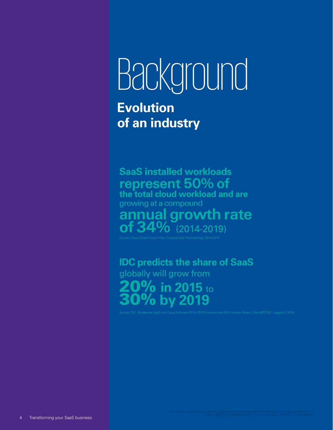# Background

**Evolution of an industry**

**SaaS installed workloads**  represent 50% of **the total cloud workload and are** growing at a compound annual growth rate of 34% (2014-2019)

**IDC predicts the share of SaaS** globally will grow from 20% **in 2015** to 30% **by 2019**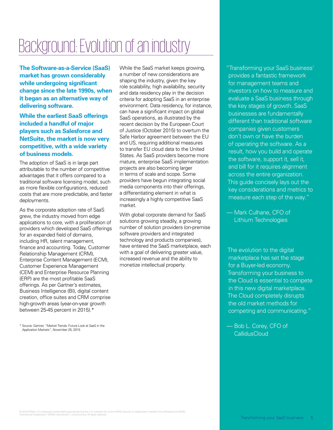# Background: Evolution of an industry

**The Software-as-a-Service (SaaS) market has grown considerably while undergoing significant change since the late 1990s, when it began as an alternative way of delivering software.** 

**While the earliest SaaS offerings included a handful of major players such as Salesforce and NetSuite, the market is now very competitive, with a wide variety of business models.** 

The adoption of SaaS is in large part attributable to the number of competitive advantages that it offers compared to a traditional software licensing model, such as more flexible configurations, reduced costs that are more predictable, and faster deployments.

As the corporate adoption rate of SaaS grew, the industry moved from edge applications to core, with a proliferation of providers which developed SaaS offerings for an expanded field of domains, including HR, talent management, finance and accounting. Today, Customer Relationship Management (CRM), Enterprise Content Management (ECM), Customer Experience Management (CEM) and Enterprise Resource Planning (ERP) are the most profitable SaaS offerings. As per Gartner's estimates, Business Intelligence (BI), digital content creation, office suites and CRM comprise high-growth areas (year-on-year growth between 25-45 percent in 2015).\*

\* Source: Gartner, "Market Trends: Future Look at SaaS in the Application Markets", November 25, 2015

While the SaaS market keeps growing, a number of new considerations are shaping the industry, given the key role scalability, high availability, security and data residency play in the decision criteria for adopting SaaS in an enterprise environment. Data residency, for instance, can have a significant impact on global SaaS operations, as illustrated by the recent decision by the European Court of Justice (October 2015) to overturn the Safe Harbor agreement between the EU and US, requiring additional measures to transfer EU cloud data to the United States. As SaaS providers become more mature, enterprise SaaS implementation projects are also becoming larger in terms of scale and scope. Some providers have begun integrating social media components into their offerings, a differentiating element in what is increasingly a highly competitive SaaS market.

With global corporate demand for SaaS solutions growing steadily, a growing number of solution providers (on-premise software providers and integrated technology and products companies), have entered the SaaS marketplace, each with a goal of delivering greater value, increased revenue and the ability to monetize intellectual property.

"Transforming your SaaS business' provides a fantastic framework for management teams and investors on how to measure and evaluate a SaaS business through the key stages of growth. SaaS businesses are fundamentally different than traditional software companies given customers don't own or have the burden of operating the software. As a result, how you build and operate the software, support it, sell it, and bill for it requires alignment across the entire organization. This guide concisely lays out the key considerations and metrics to measure each step of the way."

— Mark Culhane, CFO of Lithium Technologies

The evolution to the digital marketplace has set the stage for a Buyer-led economy. Transforming your business to the Cloud is essential to compete in this new digital marketplace. The Cloud completely disrupts the old market methods for competing and communicating."

— Bob L. Corey, CFO of **CallidusCloud**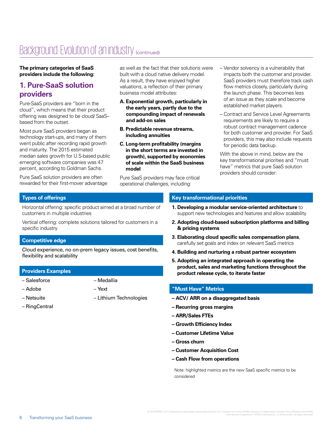# Background: Evolution of an industry (continued)

**The primary categories of SaaS providers include the following:**

### **1. Pure-SaaS solution providers**

Pure-SaaS providers are "born in the cloud", which means that their product offering was designed to be cloud/ SaaS– based from the outset.

Most pure SaaS providers began as technology start-ups, and many of them went public after recording rapid growth and maturity. The 2015 estimated median sales growth for U.S-based public emerging software companies was 47 percent, according to Goldman Sachs.

Pure SaaS solution providers are often rewarded for their first-mover advantage as well as the fact that their solutions were built with a cloud native delivery model. As a result, they have enjoyed higher valuations, a reflection of their primary business model attributes:

- **A. Exponential growth, particularly in the early years, partly due to the compounding impact of renewals and add-on sales**
- **B. Predictable revenue streams, including annuities**
- **C. Long-term profitability (margins in the short terms are invested in growth), supported by economies of scale within the SaaS business model**

Pure SaaS providers may face critical operational challenges, including:

- Vendor solvency is a vulnerability that impacts both the customer and provider. SaaS providers must therefore track cash flow metrics closely, particularly during the launch phase. This becomes less of an issue as they scale and become established market players.
- Contract and Service Level Agreements requirements are likely to require a robust contract management cadence for both customer and provider. For SaaS providers, this may also include requests for periodic data backup.

With the above in mind, below are the key transformational priorities and "must have" metrics that pure SaaS solution providers should consider:

### **Types of offerings**

Horizontal offering: specific product aimed at a broad number of customers in multiple industries

Vertical offering: complete solutions tailored for customers in a specific industry

### **Competitive edge**

Cloud experience, no on-prem legacy issues, cost benefits, flexibility and scalability

### **Providers Examples**

- Salesforce
- Adobe

– Yext

– Medallia

– Lithium Technologies

- Netsuite
- RingCentral

### **Key transformational priorities**

- **1. Developing a modular service-oriented architecture** to support new technologies and features and allow scalability
- **2. Adopting cloud-based subscription platforms and billing & pricing systems**
- **3. Elaborating cloud specific sales compensation plans**, carefully set goals and index on relevant SaaS metrics
- **4. Building and nurturing a robust partner ecosystem**
- **5. Adopting an integrated approach in operating the product, sales and marketing functions throughout the product release cycle, to iterate faster**

### **"Must Have" Metrics**

- **ACV/ ARR on a disaggregated basis**
- **Recurring gross margins**
- **ARR/Sales FTEs**
- **Growth Efficiency Index**
- **Customer Lifetime Value**
- **Gross churn**
- **Customer Acquisition Cost**
- **Cash Flow from operations**

Note: highlighted metrics are the new SaaS specific metrics to be considered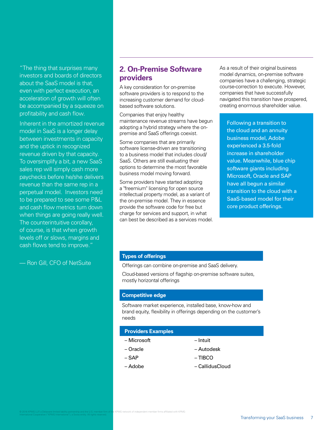"The thing that surprises many investors and boards of directors about the SaaS model is that, even with perfect execution, an acceleration of growth will often be accompanied by a squeeze on profitability and cash flow.

Inherent in the amortized revenue model in SaaS is a longer delay between investments in capacity and the uptick in recognized revenue driven by that capacity. To oversimplify a bit, a new SaaS sales rep will simply cash more paychecks before he/she delivers revenue than the same rep in a perpetual model. Investors need to be prepared to see some P&L and cash flow metrics turn down when things are going really well. The counterintuitive corollary, of course, is that when growth levels off or slows, margins and cash flows tend to improve."

— Ron Gill, CFO of NetSuite

### **2. On-Premise Software providers**

A key consideration for on-premise software providers is to respond to the increasing customer demand for cloudbased software solutions.

Companies that enjoy healthy maintenance revenue streams have begun adopting a hybrid strategy where the onpremise and SaaS offerings coexist.

Some companies that are primarily software license-driven are transitioning to a business model that includes cloud/ SaaS. Others are still evaluating their options to determine the most favorable business model moving forward.

Some providers have started adopting a "freemium" licensing for open source intellectual property model, as a variant of the on-premise model. They in essence provide the software code for free but charge for services and support, in what can best be described as a services model. As a result of their original business model dynamics, on-premise software companies have a challenging, strategic course-correction to execute. However, companies that have successfully navigated this transition have prospered, creating enormous shareholder value.

Following a transition to the cloud and an annuity business model, Adobe experienced a 3.5-fold increase in shareholder value. Meanwhile, blue chip software giants including Microsoft, Oracle and SAP have all begun a similar transition to the cloud with a SaaS-based model for their core product offerings.

### **Types of offerings**

Offerings can combine on-premise and SaaS delivery.

Cloud-based versions of flagship on-premise software suites, mostly horizontal offerings

#### **Competitive edge**

Software market experience, installed base, know-how and brand equity, flexibility in offerings depending on the customer's needs

#### **Providers Examples**

- Microsoft
- Oracle
- SAP

© 2016 KPMG LLP, a Delaware limited liability partnership and the U.S. member firm of the KPMG network of independent member firms affiliated with KPMG<br>International Cooperative ("KPMG International"), a Swiss entity. All

- Intuit
- Autodesk
- TIBCO

- Adobe
- CallidusCloud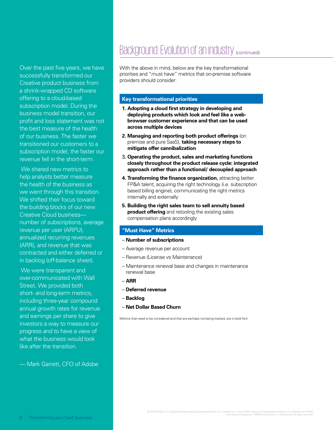Over the past five years, we have successfully transformed our Creative product business from a shrink-wrapped CD software offering to a cloud-based subscription model. During the business model transition, our profit and loss statement was not the best measure of the health of our business. The faster we transitioned our customers to a subscription model, the faster our revenue fell in the short-term.

We shared new metrics to help analysts better measure the health of the business as we went through this transition. We shifted their focus toward the building blocks of our new Creative Cloud business number of subscriptions, average revenue per user (ARPU), annualized recurring revenues (ARR), and revenue that was contracted and either deferred or in backlog (off-balance sheet).

 We were transparent and over-communicated with Wall Street. We provided both short- and long-term metrics, including three-year compound annual growth rates for revenue and earnings per share to give investors a way to measure our progress and to have a view of what the business would look like after the transition.

— Mark Garrett, CFO of Adobe

# Background: Evolution of an industry (continued)

With the above in mind, below are the key transformational priorities and "must have" metrics that on-premise software providers should consider:

### **Key transformational priorities**

- **1. Adopting a cloud first strategy in developing and deploying products which look and feel like a webbrowser customer experience and that can be used across multiple devices**
- **2. Managing and reporting both product offerings** (on premise and pure SaaS), **taking necessary steps to mitigate offer cannibalization**
- 3**. Operating the product, sales and marketing functions closely throughout the product release cycle: integrated approach rather than a functional/ decoupled approach**
- **4. Transforming the finance organization**, attracting better FP&A talent, acquiring the right technology (i.e. subscription based billing engine), communicating the right metrics internally and externally
- **5. Building the right sales team to sell annuity based product offering** and retooling the existing sales compensation plans accordingly

### **"Must Have" Metrics**

- – **Number of subscriptions**
- Average revenue per account
- Revenue (License vs Maintenance)
- Maintenance renewal base and changes in maintenance renewal base
- **ARR**
- **Deferred revenue**
- **Backlog**
- **Net Dollar Based Churn**

Metrics that need to be considered and that are perhaps not being tracked, are in bold font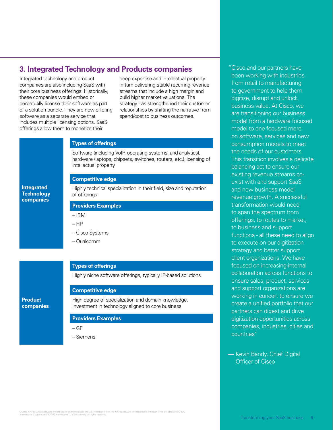### **3. Integrated Technology and Products companies The Constant Constant Constants have**

Integrated technology and product companies are also including SaaS with their core business offerings. Historically, these companies would embed or perpetually license their software as part of a solution bundle. They are now offering software as a separate service that includes multiple licensing options. SaaS offerings allow them to monetize their

**Integrated Technology companies**

**Product companies** deep expertise and intellectual property in turn delivering stable recurring revenue streams that include a high margin and build higher market valuations. The strategy has strengthened their customer relationships by shifting the narrative from spend/cost to business outcomes.

#### **Types of offerings**

Software (including VoIP, operating systems, and analytics), hardware (laptops, chipsets, switches, routers, etc.),licensing of intellectual property

### **Competitive edge**

Highly technical specialization in their field, size and reputation of offerings

### **Providers Examples**

- IBM
- HP
- Cisco Systems
- Qualcomm

### **Types of offerings**

Highly niche software offerings, typically IP-based solutions

### **Competitive edge**

High degree of specialization and domain knowledge. Investment in technology aligned to core business

#### **Providers Examples**

- GE
- Siemens

been working with industries from retail to manufacturing to government to help them digitize, disrupt and unlock business value. At Cisco, we are transitioning our business model from a hardware focused model to one focused more on software, services and new consumption models to meet the needs of our customers. This transition involves a delicate balancing act to ensure our existing revenue streams coexist with and support SaaS and new business model revenue growth. A successful transformation would need to span the spectrum from offerings, to routes to market, to business and support functions - all these need to align to execute on our digitization strategy and better support client organizations. We have focused on increasing internal collaboration across functions to ensure sales, product, services and support organizations are working in concert to ensure we create a unified portfolio that our partners can digest and drive digitization opportunities across companies, industries, cities and countries"

— Kevin Bandy, Chief Digital Officer of Cisco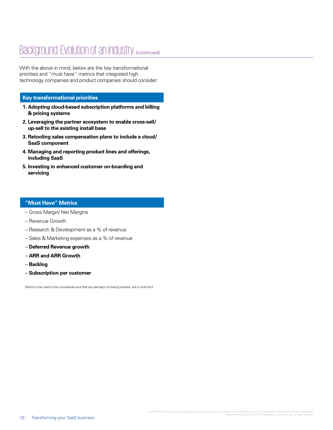# Background: Evolution of an industry (continued)

With the above in mind, below are the key transformational priorities and "must have" metrics that integrated high technology companies and product companies should consider:

### **Key transformational priorities**

- **1. Adopting cloud-based subscription platforms and billing & pricing systems**
- **2. Leveraging the partner ecosystem to enable cross-sell/ up-sell to the existing install base**
- **3. Retooling sales compensation plans to include a cloud/ SaaS component**
- **4. Managing and reporting product lines and offerings, including SaaS**
- **5. Investing in enhanced customer on-boarding and servicing**

### **"Must Have" Metrics**

- Gross Margin/ Net Margins
- Revenue Growth
- Research & Development as a % of revenue
- Sales & Marketing expenses as a % of revenue
- **Deferred Revenue growth**
- **ARR and ARR Growth**
- **Backlog**
- **Subscription per customer**

Metrics that need to be considered and that are perhaps not being tracked, are in bold font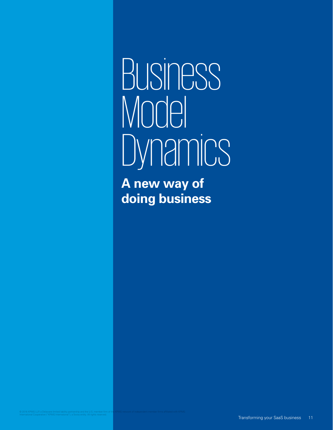# **BUSINESS** Model **Dynamics**

**A new way of doing business**

© 2016 KPMG LLP, a Delaware limited liability partnership and the U.S. member firm of th<mark>e KP</mark>MG network of independent member firms affiliated with KPMG<br>International Cooperative ("KPMG International"), a Swiss entity. Al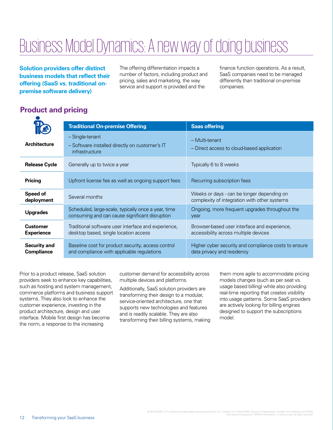# Business Model Dynamics: A new way of doing business

**Solution providers offer distinct business models that reflect their offering (SaaS vs. traditional onpremise software delivery)**

The offering differentiation impacts a number of factors, including product and pricing, sales and marketing, the way service and support is provided and the

finance function operations. As a result, SaaS companies need to be managed differently than traditional on-premise companies.

## **Product and pricing**

|                                          | <b>Traditional On-premise Offering</b>                                                                | <b>Saas offering</b>                                                                       |
|------------------------------------------|-------------------------------------------------------------------------------------------------------|--------------------------------------------------------------------------------------------|
| <b>Architecture</b>                      | - Single-tenant<br>- Software installed directly on customer's IT<br>infrastructure                   | - Multi-tenant<br>- Direct access to cloud-based application                               |
| <b>Release Cycle</b>                     | Generally up to twice a year                                                                          | Typically 6 to 8 weeks                                                                     |
| <b>Pricing</b>                           | Upfront license fee as well as ongoing support fees                                                   | Recurring subscription fees                                                                |
| Speed of<br>deployment                   | Several months                                                                                        | Weeks or days - can be longer depending on<br>complexity of integration with other systems |
| <b>Upgrades</b>                          | Scheduled, large-scale, typically once a year, time<br>consuming and can cause significant disruption | Ongoing, more frequent upgrades throughout the<br>year                                     |
| <b>Customer</b><br><b>Experience</b>     | Traditional software user interface and experience,<br>desktop based, single location access          | Browser-based user interface and experience,<br>accessibility across multiple devices      |
| <b>Security and</b><br><b>Compliance</b> | Baseline cost for product security, access control<br>and compliance with applicable regulations      | Higher cyber security and compliance costs to ensure<br>data privacy and residency         |

Prior to a product release, SaaS solution providers seek to enhance key capabilities, such as hosting and system management, commerce platforms and business support systems. They also look to enhance the customer experience, investing in the product architecture, design and user interface. Mobile first design has become the norm, a response to the increasing

customer demand for accessibility across multiple devices and platforms.

Additionally, SaaS solution providers are transforming their design to a modular, service-oriented architecture, one that supports new technologies and features and is readily scalable. They are also transforming their billing systems, making them more agile to accommodate pricing models changes (such as per seat vs. usage based billing) while also providing real-time reporting that creates visibility into usage patterns. Some SaaS providers are actively looking for billing engines designed to support the subscriptions model.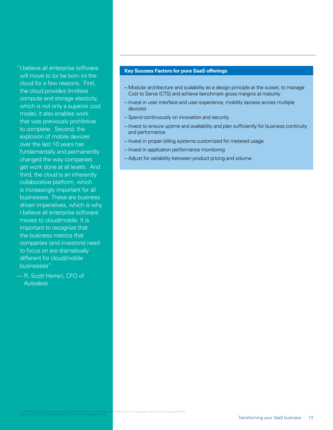"I believe all enterprise software will move to (or be born in) the cloud for a few reasons. First, the cloud provides limitless compute and storage elasticity, which is not only a superior cost model, it also enables work that was previously prohibitive to complete. Second, the explosion of mobile devices over the last 10 years has fundamentally and permanently changed the way companies get work done at all levels. And third, the cloud is an inherently collaborative platform, which is increasingly important for all businesses. These are business driven imperatives, which is why I believe all enterprise software moves to cloud/mobile. It is important to recognize that the business metrics that companies (and investors) need to focus on are dramatically different for cloud/mobile businesses"

— R. Scott Herren, CFO of Autodesk

### **Key Success Factors for pure SaaS offerings**

- Modular architecture and scalability as a design principle at the outset, to manage Cost to Serve (CTS) and achieve benchmark gross margins at maturity
- Invest in user interface and user experience, mobility (access across multiple devices)
- Spend continuously on innovation and security
- Invest to ensure uptime and availability and plan sufficiently for business continuity and performance
- Invest in proper billing systems customized for metered usage
- Invest in application performance monitoring
- Adjust for variability between product pricing and volume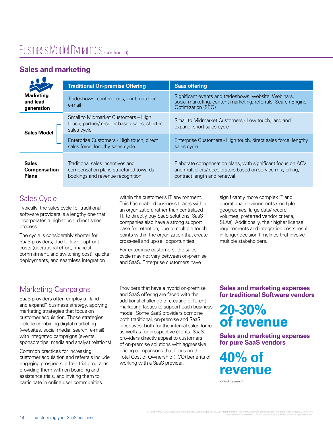# Business Model Dynamics (continued)

# **Sales and marketing**

|                                                     | <b>Traditional On-premise Offering</b>                                                                        | <b>Saas offering</b>                                                                                                                                       |
|-----------------------------------------------------|---------------------------------------------------------------------------------------------------------------|------------------------------------------------------------------------------------------------------------------------------------------------------------|
| <b>Marketing</b><br>and lead<br>generation          | Tradeshows, conferences, print, outdoor,<br>e-mail                                                            | Significant events and tradeshows, website, Webinars,<br>social marketing, content marketing, referrals, Search Engine<br><b>Optimization (SEO)</b>        |
| <b>Sales Model</b>                                  | Small to Midmarket Customers - High<br>touch, partner/ reseller based sales, shorter<br>sales cycle           | Small to Midmarket Customers - Low touch, land and<br>expand, short sales cycle                                                                            |
|                                                     | Enterprise Customers - High touch, direct<br>sales force, lengthy sales cycle                                 | Enterprise Customers - High touch, direct sales force, lengthy<br>sales cycle                                                                              |
| <b>Sales</b><br><b>Compensation</b><br><b>Plans</b> | Traditional sales incentives and<br>compensation plans structured towards<br>bookings and revenue recognition | Elaborate compensation plans, with significant focus on ACV<br>and multipliers/ decelerators based on service mix, billing,<br>contract length and renewal |

# Sales Cycle

Typically, the sales cycle for traditional software providers is a lengthy one that incorporates a high-touch, direct sales process.

The cycle is considerably shorter for SaaS providers, due to lower upfront costs (operational effort, financial commitment, and switching cost), quicker deployments, and seamless integration

within the customer's IT environment. This has enabled business teams within an organization, rather than centralized IT, to directly buy SaaS solutions. SaaS companies also have a strong support base for retention, due to multiple touch points within the organization that create cross-sell and up-sell opportunities.

For enterprise customers, the sales cycle may not vary between on-premise and SaaS. Enterprise customers have

significantly more complex IT and operational environments (multiple geographies, large data/ record volumes, preferred vendor criteria, SLAs). Additionally, their higher license requirements and integration costs result in longer decision timelines that involve multiple stakeholders.

# Marketing Campaigns

SaaS providers often employ a "land and expand" business strategy, applying marketing strategies that focus on customer acquisition. Those strategies include combining digital marketing (websites, social media, search, e-mail) with integrated campaigns (events, sponsorships, media and analyst relations)

Common practices for increasing customer acquisition and referrals include engaging prospects in free trial programs, providing them with on-boarding and assistance trials, and inviting them to participate in online user communities.

Providers that have a hybrid on-premise and SaaS offering are faced with the additional challenge of creating different marketing tactics to support each business model. Some SaaS providers combine both traditional, on-premise and SaaS incentives, both for the internal sales force as well as for prospective clients. SaaS providers directly appeal to customers of on-premise solutions with aggressive pricing comparisons that focus on the Total Cost of Ownership (TCO) benefits of working with a SaaS provider.

### **Sales and marketing expenses for traditional Software vendors**

# **20-30% of revenue**

**Sales and marketing expenses for pure SaaS vendors** 

# **40% of revenue**

KPMG Research"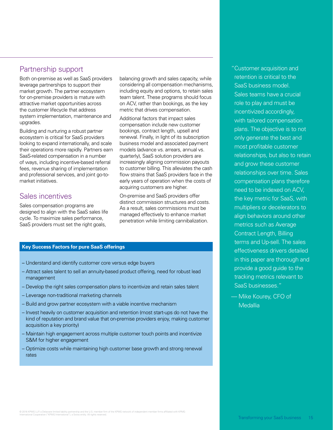### Partnership support

Both on-premise as well as SaaS providers leverage partnerships to support their market growth. The partner ecosystem for on-premise providers is mature with attractive market opportunities across the customer lifecycle that address system implementation, maintenance and upgrades.

Building and nurturing a robust partner ecosystem is critical for SaaS providers looking to expand internationally, and scale their operations more rapidly. Partners earn SaaS-related compensation in a number of ways, including incentive-based referral fees, revenue sharing of implementation and professional services, and joint go-tomarket initiatives.

### Sales incentives

Sales compensation programs are designed to align with the SaaS sales life cycle. To maximize sales performance, SaaS providers must set the right goals,

balancing growth and sales capacity, while considering all compensation mechanisms, including equity and options, to retain sales team talent. These programs should focus on ACV, rather than bookings, as the key metric that drives compensation.

Additional factors that impact sales compensation include new customer bookings, contract length, upsell and renewal. Finally, in light of its subscription business model and associated payment models (advance vs. arrears, annual vs. quarterly), SaaS solution providers are increasingly aligning commission payouts to customer billing. This alleviates the cash flow strains that SaaS providers face in the early years of operation when the costs of acquiring customers are higher.

On-premise and SaaS providers offer distinct commission structures and costs. As a result, sales commissions must be managed effectively to enhance market penetration while limiting cannibalization.

### **Key Success Factors for pure SaaS offerings**

- Understand and identify customer core versus edge buyers
- Attract sales talent to sell an annuity-based product offering, need for robust lead management
- Develop the right sales compensation plans to incentivize and retain sales talent
- Leverage non-traditional marketing channels
- Build and grow partner ecosystem with a viable incentive mechanism
- Invest heavily on customer acquisition and retention (most start-ups do not have the kind of reputation and brand value that on-premise providers enjoy, making customer acquisition a key priority)
- Maintain high engagement across multiple customer touch points and incentivize S&M for higher engagement
- Optimize costs while maintaining high customer base growth and strong renewal rates

" Customer acquisition and retention is critical to the SaaS business model. Sales teams have a crucial role to play and must be incentivized accordingly, with tailored compensation plans. The objective is to not only generate the best and most profitable customer relationships, but also to retain and grow these customer relationships over time. Sales compensation plans therefore need to be indexed on ACV, the key metric for SaaS, with multipliers or decelerators to align behaviors around other metrics such as Average Contract Length, Billing terms and Up-sell. The sales effectiveness drivers detailed in this paper are thorough and provide a good guide to the tracking metrics relevant to SaaS businesses."

— Mike Kourey, CFO of **Medallia**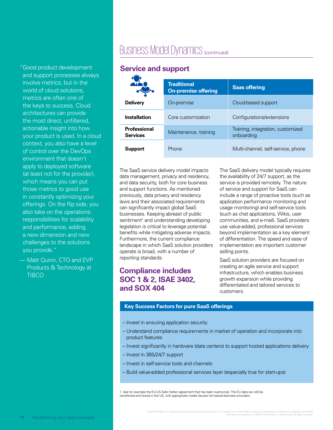" Good product development and support processes always involve metrics, but in the world of cloud solutions, metrics are often one of the keys to success. Cloud architectures can provide the most direct, unfiltered, actionable insight into how your product is used. In a cloud context, you also have a level of control over the DevOps environment that doesn't apply to deployed software (at least not for the provider), which means you can put those metrics to good use in constantly optimizing your offerings. On the flip side, you also take on the operations responsibilities for scalability and performance, adding a new dimension and new challenges to the solutions you provide."

— Matt Quinn, CTO and EVP Products & Technology at **TIBCO** 

# Business Model Dynamics (continued)

### **Service and support**

|                                        | <b>Traditional</b><br><b>On-premise offering</b> | <b>Saas offering</b>                            |
|----------------------------------------|--------------------------------------------------|-------------------------------------------------|
| <b>Delivery</b>                        | On-premise                                       | Cloud-based support                             |
| <b>Installation</b>                    | Core customization                               | Configurations/extensions                       |
| <b>Professional</b><br><b>Services</b> | Maintenance, training                            | Training, integration, customized<br>onboarding |
| <b>Support</b>                         | Phone                                            | Multi-channel, self-service, phone              |

The SaaS service delivery model impacts data management, privacy and residency, and data security, both for core business and support functions. As mentioned previously, data privacy and residency laws and their associated requirements can significantly impact global SaaS businesses. Keeping abreast of public sentiment<sup>1</sup> and understanding developing legislation is critical to leverage potential benefits while mitigating adverse impacts. Furthermore, the current compliance landscape in which SaaS solution providers operate is broad, with a number of reporting standards.

### **Compliance includes SOC 1 & 2, ISAE 3402, and SOX 404**

The SaaS delivery model typically requires the availability of 24/7 support, as the service is provided remotely. The nature of service and support for SaaS can include a range of proactive tools (such as application performance monitoring and usage monitoring) and self-service tools (such as chat applications, Wikis, user communities, and e-mail). SaaS providers use value-added, professional services beyond implementation as a key element of differentiation. The speed and ease of implementation are important customer selling points.

SaaS solution providers are focused on creating an agile service and support infrastructure, which enables business growth expansion while providing differentiated and tailored services to customers.

### **Key Success Factors for pure SaaS offerings**

- Invest in ensuring application security
- Understand compliance requirements in market of operation and incorporate into product features
- Invest significantly in hardware (data centers) to support hosted applications delivery
- Invest in 365/24/7 support
- Invest in self-service tools and channels
- Build value-added professional services layer (especially true for start-ups)

1. See for example the EU-US Safe Harbor agreement that has been overturned. The EU data can still be transferred and stored in the US, with appropriate model clauses formalized between providers.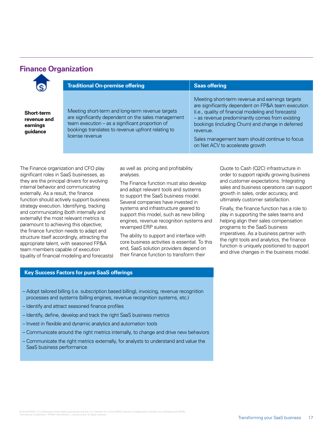### **Finance Organization**

| <b>Traditional On-premise offering</b>                                                                                                                                                                                              | <b>Saas offering</b>                                                                                                                                                                                                                                                                                                                                                 |
|-------------------------------------------------------------------------------------------------------------------------------------------------------------------------------------------------------------------------------------|----------------------------------------------------------------------------------------------------------------------------------------------------------------------------------------------------------------------------------------------------------------------------------------------------------------------------------------------------------------------|
| Meeting short-term and long-term revenue targets<br>are significantly dependent on the sales management<br>team execution - as a significant proportion of<br>bookings translates to revenue upfront relating to<br>license revenue | Meeting short-term revenue and earnings targets<br>are significantly dependent on FP&A team execution<br>(i.e., quality of financial modeling and forecasts)<br>- as revenue predominantly comes from existing<br>bookings (including Churn) and change in deferred<br>revenue.<br>Sales management team should continue to focus<br>on Net ACV to accelerate growth |

The F significant roles in SaaS businesses, as they are the principal drivers for evolving internal behavior and communicating externally. As a result, the finance function should actively support business strategy execution. Identifying, tracking and communicating (both internally and externally) the most relevant metrics is paramount to achieving this objective; the finance function needs to adapt and structure itself accordingly, attracting the appropriate talent, with seasoned FP&A team members capable of execution (quality of financial modeling and forecasts) analyses.

The Finance function must also develop and adopt relevant tools and systems to support the SaaS business model. Several companies have invested in systems and infrastructure geared to support this model, such as new billing engines, revenue recognition systems and revamped ERP suites.

The ability to support and interface with core business activities is essential. To this end, SaaS solution providers depend on their finance function to transform their

order to support rapidly growing business and customer expectations. Integrating sales and business operations can support growth in sales, order accuracy, and ultimately customer satisfaction.

Finally, the finance function has a role to play in supporting the sales teams and helping align their sales compensation programs to the SaaS business imperatives. As a business partner with the right tools and analytics, the finance function is uniquely positioned to support and drive changes in the business model.

### **Key Success Factors for pure SaaS offerings**

- Adopt tailored billing (i.e. subscription based billing), invoicing, revenue recognition processes and systems (billing engines, revenue recognition systems, etc.)
- Identify and attract seasoned finance profiles
- Identify, define, develop and track the right SaaS business metrics
- Invest in flexible and dynamic analytics and automation tools
- Communicate around the right metrics internally, to change and drive new behaviors
- Communicate the right metrics externally, for analysts to understand and value the SaaS business performance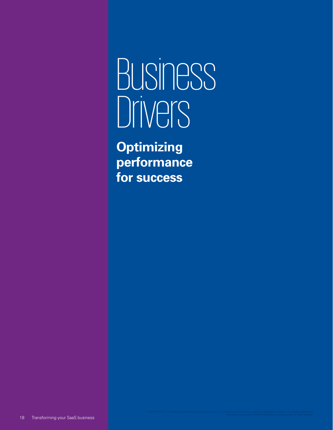# Business Drivers

**Optimizing performance for success**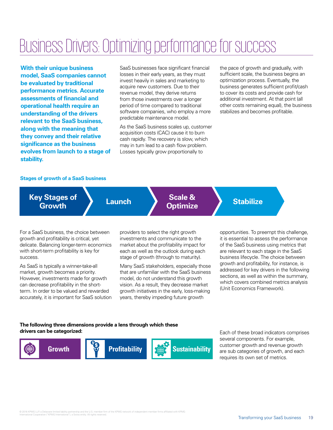# Business Drivers: Optimizing performance for success

**With their unique business model, SaaS companies cannot be evaluated by traditional performance metrics. Accurate assessments of financial and operational health require an understanding of the drivers relevant to the SaaS business, along with the meaning that they convey and their relative significance as the business evolves from launch to a stage of stability.**

SaaS businesses face significant financial losses in their early years, as they must invest heavily in sales and marketing to acquire new customers. Due to their revenue model, they derive returns from those investments over a longer period of time compared to traditional software companies, who employ a more predictable maintenance model.

As the SaaS business scales up, customer acquisition costs (CAC) cause it to burn cash rapidly. The recovery is slow, which may in turn lead to a cash flow problem. Losses typically grow proportionally to

the pace of growth and gradually, with sufficient scale, the business begins an optimization process. Eventually, the business generates sufficient profit/cash to cover its costs and provide cash for additional investment. At that point (all other costs remaining equal), the business stabilizes and becomes profitable.

#### **Stages of growth of a SaaS business**

**Optimize Launch Key Stages of Growth**

**Scale & Stabilize** 

For a SaaS business, the choice between growth and profitability is critical, yet delicate. Balancing longer-term economics with short-term profitability is key for success.

As SaaS is typically a winner-take-all market, growth becomes a priority. However, investments made for growth can decrease profitability in the shortterm. In order to be valued and rewarded accurately, it is important for SaaS solution providers to select the right growth investments and communicate to the market about the profitability impact for each as well as the outlook during each stage of growth (through to maturity).

Many SaaS stakeholders, especially those that are unfamiliar with the SaaS business model, do not understand this growth vision. As a result, they decrease market growth initiatives in the early, loss-making years, thereby impeding future growth

opportunities. To preempt this challenge, it is essential to assess the performance of the SaaS business using metrics that are relevant to each stage in the SaaS business lifecycle. The choice between growth and profitability, for instance, is addressed for key drivers in the following sections, as well as within the summary, which covers combined metrics analysis (Unit Economics Framework).

### **The following three dimensions provide a lens through which these drivers can be categorized:**



Each of these broad indicators comprises several components. For example, customer growth and revenue growth are sub categories of growth, and each requires its own set of metrics.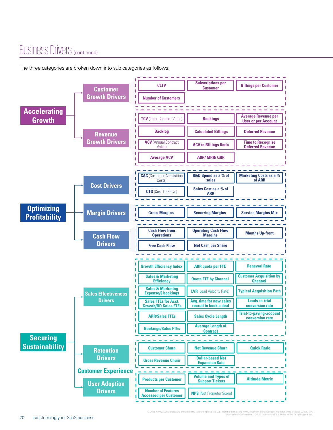# Business Drivers (continued)

The three categories are broken down into sub categories as follows:

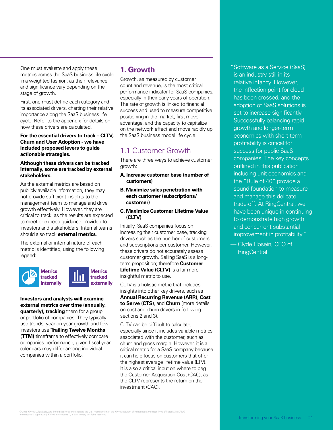One must evaluate and apply these metrics across the SaaS business life cycle in a weighted fashion, as their relevance and significance vary depending on the stage of growth.

First, one must define each category and its associated drivers, charting their relative importance along the SaaS business life cycle. Refer to the appendix for details on how these drivers are calculated.

**For the essential drivers to track – CLTV, Churn and User Adoption - we have included proposed levers to guide actionable strategies.**

#### **Although these drivers can be tracked internally, some are tracked by external stakeholders.**

As the external metrics are based on publicly available information, they may not provide sufficient insights to the management team to manage and drive growth effectively. However, they are critical to track, as the results are expected to meet or exceed guidance provided to investors and stakeholders. Internal teams should also track **external metrics**.

The external or internal nature of each metric is identified, using the following legend:



#### **Investors and analysts will examine external metrics over time (annually, quarterly), tracking** them for a group

or portfolio of companies. They typically use trends, year on year growth and few investors use **Trailing Twelve Months (TTM)** timeframe to effectively compare companies performance, given fiscal year calendars may differ among individual companies within a portfolio.

### **1. Growth**

Growth, as measured by customer count and revenue, is the most critical performance indicator for SaaS companies, especially in their early years of operation. The rate of growth is linked to financial success and used to measure competitive positioning in the market, first-mover advantage, and the capacity to capitalize on the network effect and move rapidly up the SaaS business model life cycle.

# 1.1 Customer Growth

There are three ways to achieve customer growth:

- **A. Increase customer base (number of customers)**
- **B. Maximize sales penetration with each customer (subscriptions/ customer)**
- **C. Maximize Customer Lifetime Value (CLTV)**

Initially, SaaS companies focus on increasing their customer base, tracking drivers such as the number of customers and subscriptions per customer. However, these drivers do not accurately assess customer growth. Selling SaaS is a longterm proposition; therefore **Customer Lifetime Value (CLTV)** is a far more insightful metric to use.

CLTV is a holistic metric that includes insights into other key drivers, such as **Annual Recurring Revenue (ARR)**, **Cost to Serve (CTS)**, and **Churn** (more details on cost and churn drivers in following sections 2 and 3).

CLTV can be difficult to calculate, especially since it includes variable metrics associated with the customer, such as churn and gross margin. However, it is a critical metric for a SaaS company because it can help focus on customers that offer the highest average lifetime value (LTV). It is also a critical input on where to peg the Customer Acquisition Cost (CAC), as the CLTV represents the return on the investment (CAC).

" Software as a Service (SaaS) is an industry still in its relative infancy. However, the inflection point for cloud has been crossed, and the adoption of SaaS solutions is set to increase significantly. Successfully balancing rapid growth and longer-term economics with short-term profitability is critical for success for public SaaS companies. The key concepts outlined in this publication including unit economics and the "Rule of 40" provide a sound foundation to measure and manage this delicate trade-off. At RingCentral, we have been unique in continuing to demonstrate high growth and concurrent substantial improvement in profitability."

— Clyde Hosein, CFO of **RingCentral**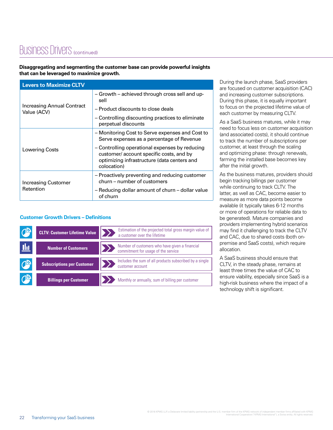# BUSINESS Drivers (continued)

### **Disaggregating and segmenting the customer base can provide powerful insights that can be leveraged to maximize growth.**

| <b>Levers to Maximize CLTV</b>            |                                                                                                                                                         |  |  |
|-------------------------------------------|---------------------------------------------------------------------------------------------------------------------------------------------------------|--|--|
|                                           | - Growth - achieved through cross sell and up-<br>sell                                                                                                  |  |  |
| Increasing Annual Contract<br>Value (ACV) | - Product discounts to close deals                                                                                                                      |  |  |
|                                           | - Controlling discounting practices to eliminate<br>perpetual discounts                                                                                 |  |  |
|                                           | - Monitoring Cost to Serve expenses and Cost to<br>Serve expenses as a percentage of Revenue                                                            |  |  |
| Lowering Costs                            | - Controlling operational expenses by reducing<br>customer/account specific costs, and by<br>optimizing infrastructure (data centers and<br>colocation) |  |  |
| <b>Increasing Customer</b>                | - Proactively preventing and reducing customer<br>churn – number of customers                                                                           |  |  |
| Retention                                 | - Reducing dollar amount of churn - dollar value<br>of churn                                                                                            |  |  |

### **Customer Growth Drivers – Definitions**

|            | <b>CLTV: Customer Lifetime Value</b> | Estimation of the projected total gross margin value of<br>a customer over the lifetime |
|------------|--------------------------------------|-----------------------------------------------------------------------------------------|
| <u>thi</u> | <b>Number of Customers</b>           | Number of customers who have given a financial<br>commitment for usage of the service   |
| $\sqrt{2}$ | <b>Subscriptions per Customer</b>    | Includes the sum of all products subscribed by a single<br>customer account             |
|            | <b>Billings per Customer</b>         | Monthly or annually, sum of billing per customer                                        |

During the launch phase, SaaS providers are focused on customer acquisition (CAC) and increasing customer subscriptions. During this phase, it is equally important to focus on the projected lifetime value of each customer by measuring CLTV.

As a SaaS business matures, while it may need to focus less on customer acquisition (and associated costs), it should continue to track the number of subscriptions per customer, at least through the scaling and optimizing phase: through renewals, farming the installed base becomes key after the initial growth.

As the business matures, providers should begin tracking billings per customer while continuing to track CLTV. The latter, as well as CAC, become easier to measure as more data points become available (it typically takes 6-12 months or more of operations for reliable data to be generated). Mature companies and providers implementing hybrid scenarios may find it challenging to track the CLTV and CAC, due to shared costs (both onpremise and SaaS costs), which require allocation.

A SaaS business should ensure that CLTV, in the steady phase, remains at least three times the value of CAC to ensure viability, especially since SaaS is a high-risk business where the impact of a technology shift is significant.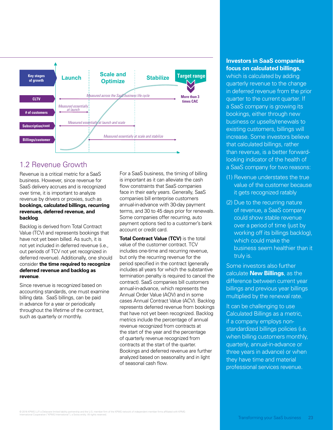

### 1.2 Revenue Growth

Revenue is a critical metric for a SaaS business. However, since revenue for SaaS delivery accrues and is recognized over time, it is important to analyze revenue by drivers or proxies, such as **bookings, calculated billings, recurring revenues, deferred revenue, and backlog**.

Backlog is derived from Total Contract Value (TCV) and represents bookings that have not yet been billed. As such, it is not yet included in deferred revenue (i.e., out periods of TCV not yet recognized in deferred revenue). Additionally, one should consider **the time required to recognize deferred revenue and backlog as revenue**.

Since revenue is recognized based on accounting standards, one must examine billing data. SaaS billings, can be paid in advance for a year or periodically throughout the lifetime of the contract, such as quarterly or monthly.

For a SaaS business, the timing of billing is important as it can alleviate the cash flow constraints that SaaS companies face in their early years. Generally, SaaS companies bill enterprise customers annual-in-advance with 30-day payment terms, and 30 to 45 days prior for renewals. Some companies offer recurring, auto payment options tied to a customer's bank account or credit card.

**Total Contract Value (TCV)** is the total value of the customer contract. TCV includes one-time and recurring revenue, but only the recurring revenue for the period specified in the contract (generally includes all years for which the substantive termination penalty is required to cancel the contract). SaaS companies bill customers annual-in-advance, which represents the Annual Order Value (AOV) and in some cases Annual Contract Value (ACV). Backlog represents deferred revenue from bookings that have not yet been recognized. Backlog metrics include the percentage of annual revenue recognized from contracts at the start of the year and the percentage of quarterly revenue recognized from contracts at the start of the quarter. Bookings and deferred revenue are further analyzed based on seasonality and in light of seasonal cash flow.

### **Investors in SaaS companies focus on calculated billings,**

which is calculated by adding quarterly revenue to the change in deferred revenue from the prior quarter to the current quarter. If a SaaS company is growing its bookings, either through new business or upsells/renewals to existing customers, billings will increase. Some investors believe that calculated billings, rather than revenue, is a better forwardlooking indicator of the health of a SaaS company for two reasons:

- (1) Revenue understates the true value of the customer because it gets recognized ratably
- (2) Due to the recurring nature of revenue, a SaaS company could show stable revenue over a period of time (just by working off its billings backlog), which could make the business seem healthier than it truly is.

Some investors also further calculate **New Billings**, as the difference between current year billings and previous year billings multiplied by the renewal rate.

It can be challenging to use Calculated Billings as a metric, if a company employs nonstandardized billings policies (i.e. when billing customers monthly, quarterly, annual-in-advance or three years in advance) or when they have time and material professional services revenue.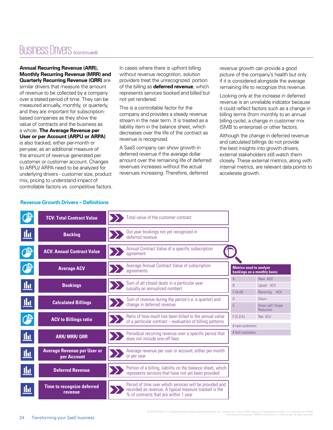# Business Drivers (continued)

#### **Annual Recurring Revenue (ARR), Monthly Recurring Revenue (MRR) and Quarterly Recurring Revenue (QRR)** are

similar drivers that measure the amount of revenue to be collected by a company over a stated period of time. They can be measured annually, monthly, or quarterly, and they are important for subscriptionbased companies as they show the value of contracts and the business as a whole. **The Average Revenue per User or per Account (ARPU or ARPA)** is also tracked, either per-month or per-year, as an additional measure of the amount of revenue generated per customer or customer account. Changes to ARPU/ ARPA need to be analyzed for underlying drivers - customer size, product mix, pricing to understand impact of

In cases where there is upfront billing without revenue recognition, solution providers treat the unrecognized portion of the billing as **deferred revenue**, which represents services booked and billed but not yet rendered.

This is a controllable factor for the company and provides a steady revenue stream in the near term. It is treated as a liability item in the balance sheet, which decreases over the life of the contract as revenue is recognized.

A SaaS company can show growth in deferred revenue if the average dollar amount over the remaining life of deferred revenues increases without the actual revenues increasing. Therefore, deferred

revenue growth can provide a good picture of the company's health but only if it is considered alongside the average remaining life to recognize this revenue.

Looking only at the increase in deferred revenue is an unreliable indicator because it could reflect factors such as a change in billing terms (from monthly to an annual billing cycle), a change in customer mix (SMB to enterprise) or other factors.

Although the change in deferred revenue and calculated billings do not provide the best insights into growth drivers, external stakeholders still watch them closely. These external metrics, along with internal metrics, are relevant data points to accelerate growth.

|                               | <b>TCV: Total Contract Value</b>                  | Total value of the customer contract                                                                                                                      |                                                                |                                        |
|-------------------------------|---------------------------------------------------|-----------------------------------------------------------------------------------------------------------------------------------------------------------|----------------------------------------------------------------|----------------------------------------|
| <u>Щ</u>                      | <b>Backlog</b>                                    | Out year bookings not yet recognized in<br>deferred revenue                                                                                               |                                                                |                                        |
| Œ                             | <b>ACV: Annual Contract Value</b>                 | Annual Contract Value of a specific subscription<br>agreement                                                                                             |                                                                |                                        |
| $\mathbb{C}^{\triangleright}$ | <b>Average ACV</b>                                | Average Annual Contract Value of subscription<br>agreements                                                                                               | <b>Metrics used to analyze</b><br>bookings on a monthly basis: |                                        |
| <u>llu</u>                    | <b>Bookings</b>                                   | Sum of all closed deals in a particular year<br>(usually an annualized number)                                                                            | A<br>B<br>$C(A+B)$                                             | New ACV<br>Upsell ACV<br>Recurring ACV |
| <u> ம</u>                     | <b>Calculated Billings</b>                        | Sum of revenue during the period (i.e. a quarter) and<br>change in deferred revenue                                                                       | D<br>E                                                         | Churn<br>Down sell/ Scope<br>Reduction |
|                               | <b>ACV to Billings ratio</b>                      | Ratio of how much has been billed to the annual value<br>of a particular contract – evaluation of billing patterns                                        | $F(C-D-E)$<br>$#$ new customers                                | Net ACV                                |
| <u>thi</u>                    | <b>ARR/MRR/QRR</b>                                | Periodical recurring revenue over a specific period that<br>does not include one-off fees                                                                 | # lost customers                                               |                                        |
| <u>thi</u>                    | <b>Average Revenue per User or</b><br>per Account | Average revenue per user or account, either per month<br>or per year                                                                                      |                                                                |                                        |
| <u>llu</u>                    | <b>Deferred Revenue</b>                           | Portion of a billing, liability on the balance sheet, which<br>represents services that have not yet been provided                                        |                                                                |                                        |
| <u>llı </u>                   | <b>Time to recognize deferred</b><br>revenue      | Period of time over which services will be provided and<br>recorded as revenue. A typical measure tracked is the<br>% of contracts that are within 1 year |                                                                |                                        |

#### **Revenue Growth Drivers – Definitions**

controllable factors vs. competitive factors.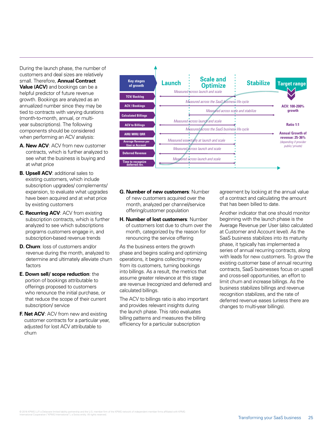During the launch phase, the number of customers and deal sizes are relatively small. Therefore, **Annual Contract Value (ACV)** and bookings can be a helpful predictor of future revenue growth. Bookings are analyzed as an annualized number since they may be tied to contracts with varying durations (month-to-month, annual, or multiyear subscriptions). The following components should be considered when performing an ACV analysis:

- **A. New ACV**: ACV from new customer contracts, which is further analyzed to see what the business is buying and at what price
- **B. Upsell ACV: additional sales to** existing customers, which include subscription upgrades/ complements/ expansion, to evaluate what upgrades have been acquired and at what price by existing customers
- **C. Recurring ACV**: ACV from existing subscription contracts, which is further analyzed to see which subscriptions programs customers engage in, and subscription-based revenue trends
- **D. Churn**: loss of customers and/or revenue during the month, analyzed to determine and ultimately alleviate churn factors
- **E. Down sell/ scope reduction**: the portion of bookings attributable to offerings proposed to customers who renounce the initial purchase, or that reduce the scope of their current subscription/ service
- **F. Net ACV: ACV from new and existing** customer contracts for a particular year, adjusted for lost ACV attributable to churn



- **G. Number of new customers**: Number of new customers acquired over the month, analyzed per channel/service offering/customer population
- **H. Number of lost customers**: Number of customers lost due to churn over the month, categorized by the reason for renouncing the service offering

As the business enters the growth phase and begins scaling and optimizing operations, it begins collecting money from its customers, turning bookings into billings. As a result, the metrics that assume greater relevance at this stage are revenue (recognized and deferred) and calculated billings.

The ACV to billings ratio is also important and provides relevant insights during the launch phase. This ratio evaluates billing patterns and measures the billing efficiency for a particular subscription

agreement by looking at the annual value of a contract and calculating the amount that has been billed to date.

Another indicator that one should monitor beginning with the launch phase is the Average Revenue per User (also calculated at Customer and Account level). As the SaaS business stabilizes into its maturity phase, it typically has implemented a series of annual recurring contracts, along with leads for new customers. To grow the existing customer base of annual recurring contracts, SaaS businesses focus on upsell and cross-sell opportunities, an effort to limit churn and increase billings. As the business stabilizes billings and revenue recognition stabilizes, and the rate of deferred revenue eases (unless there are changes to multi-year billings).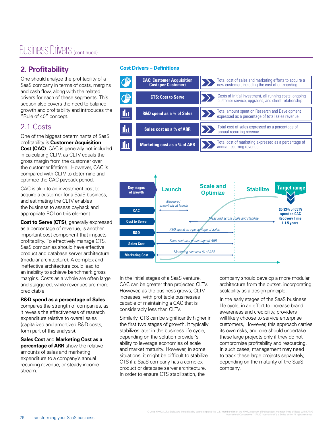# Business Drivers (continued)

# **2. Profitability**

One should analyze the profitability of a SaaS company in terms of costs, margins and cash flow, along with the related drivers for each of these segments. This section also covers the need to balance growth and profitability and introduces the "Rule of 40" concept.

### 2.1 Costs

One of the biggest determinants of SaaS profitability is **Customer Acquisition Cost (CAC)**. CAC is generally not included in calculating CLTV, as CLTV equals the gross margin from the customer over the customer lifetime. However, CAC is compared with CLTV to determine and optimize the CAC payback period.

CAC is akin to an investment cost to acquire a customer for a SaaS business, and estimating the CLTV enables the business to assess payback and appropriate ROI on this element.

**Cost to Serve (CTS)**, generally expressed as a percentage of revenue, is another important cost component that impacts profitability. To effectively manage CTS, SaaS companies should have effective product and database server architecture (modular architecture). A complex and ineffective architecture could lead to an inability to achieve benchmark gross margins. Costs as a whole are often large and staggered, while revenues are more predictable.

### **R&D spend as a percentage of Sales**

compares the strength of companies, as it reveals the effectiveness of research expenditure relative to overall sales (capitalized and amortized R&D costs, form part of this analysis).

**Sales Cost** and **Marketing Cost as a percentage of ARR** show the relative amounts of sales and marketing expenditure to a company's annual recurring revenue, or steady income stream.

### **Cost Drivers – Definitions**





In the initial stages of a SaaS venture, CAC can be greater than projected CLTV. However, as the business grows, CLTV increases, with profitable businesses capable of maintaining a CAC that is considerably less than CLTV.

Similarly, CTS can be significantly higher in the first two stages of growth. It typically stabilizes later in the business life cycle, depending on the solution provider's ability to leverage economies of scale and market maturity. However, in some situations, it might be difficult to stabilize CTS if a SaaS company has a complex product or database server architecture. In order to ensure CTS stabilization, the

company should develop a more modular architecture from the outset, incorporating scalability as a design principle.

In the early stages of the SaaS business life cycle, in an effort to increase brand awareness and credibility, providers will likely choose to service enterprise customers, However, this approach carries its own risks, and one should undertake these large projects only if they do not compromise profitability and resourcing. In such cases, management may need to track these large projects separately, depending on the maturity of the SaaS company.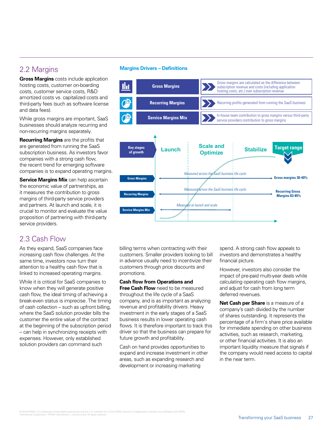**Gross Margins** costs include application hosting costs, customer on-boarding costs, customer service costs, R&D amortized costs vs. capitalized costs and third-party fees (such as software license and data fees).

While gross margins are important, SaaS businesses should analyze recurring and non-recurring margins separately.

**Recurring Margins** are the profits that are generated from running the SaaS subscription business. As investors favor companies with a strong cash flow, the recent trend for emerging software companies is to expand operating margins.

**Service Margins Mix** can help ascertain the economic value of partnerships, as it measures the contribution to gross margins of third-party service providers and partners. At launch and scale, it is crucial to monitor and evaluate the value proposition of partnering with third-party service providers.

### 2.3 Cash Flow

As they expand, SaaS companies face increasing cash flow challenges. At the same time, investors now turn their attention to a healthy cash flow that is linked to increased operating margins.

While it is critical for SaaS companies to know when they will generate positive cash flow, the ideal timing of achieving a break-even status is imprecise. The timing of cash collection – such as upfront billing, where the SaaS solution provider bills the customer the entire value of the contract at the beginning of the subscription period – can help in synchronizing receipts with expenses. However, only established solution providers can command such

### 2.2 Margins **Margins Drivers – Definitions**



billing terms when contracting with their customers. Smaller providers looking to bill in advance usually need to incentivize their customers through price discounts and promotions.

**Cash flow from Operations and Free Cash Flow** need to be measured throughout the life cycle of a SaaS company, and is as important as analyzing revenue and profitability drivers. Heavy investment in the early stages of a SaaS business results in lower operating cash flows. It is therefore important to track this driver so that the business can prepare for future growth and profitability.

Cash on hand provides opportunities to expand and increase investment in other areas, such as expanding research and development or increasing marketing

spend. A strong cash flow appeals to investors and demonstrates a healthy financial picture.

However, investors also consider the impact of pre-paid multi-year deals while calculating operating cash flow margins, and adjust for cash from long term deferred revenues.

**Net Cash per Share** is a measure of a company's cash divided by the number of shares outstanding. It represents the percentage of a firm's share price available for immediate spending on other business activities, such as research, marketing, or other financial activities. It is also an important liquidity measure that signals if the company would need access to capital in the near term.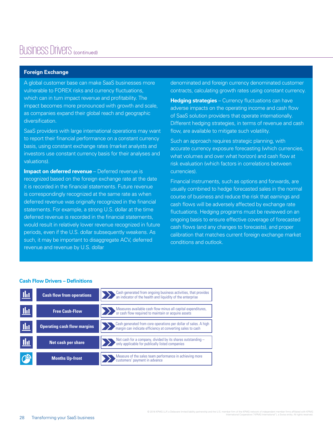# Business Drivers (continued)

### **Foreign Exchange**

A global customer base can make SaaS businesses more vulnerable to FOREX risks and currency fluctuations, which can in turn impact revenue and profitability. The impact becomes more pronounced with growth and scale, as companies expand their global reach and geographic diversification.

SaaS providers with large international operations may want to report their financial performance on a constant currency basis, using constant exchange rates (market analysts and investors use constant currency basis for their analyses and valuations).

**Impact on deferred revenue** – Deferred revenue is recognized based on the foreign exchange rate at the date it is recorded in the financial statements. Future revenue is correspondingly recognized at the same rate as when deferred revenue was originally recognized in the financial statements. For example, a strong U.S. dollar at the time deferred revenue is recorded in the financial statements, would result in relatively lower revenue recognized in future periods, even if the U.S. dollar subsequently weakens. As such, it may be important to disaggregate ACV, deferred revenue and revenue by U.S. dollar

denominated and foreign currency denominated customer contracts, calculating growth rates using constant currency.

**Hedging strategies** – Currency fluctuations can have adverse impacts on the operating income and cash flow of SaaS solution providers that operate internationally. Different hedging strategies, in terms of revenue and cash flow, are available to mitigate such volatility.

Such an approach requires strategic planning, with accurate currency exposure forecasting (which currencies, what volumes and over what horizon) and cash flow at risk evaluation (which factors in correlations between currencies).

Financial instruments, such as options and forwards, are usually combined to hedge forecasted sales in the normal course of business and reduce the risk that earnings and cash flows will be adversely affected by exchange rate fluctuations. Hedging programs must be reviewed on an ongoing basis to ensure effective coverage of forecasted cash flows (and any changes to forecasts), and proper calibration that matches current foreign exchange market conditions and outlook.

#### **Cash Flow Drivers – Definitions**

| Шт              | <b>Cash flow from operations</b>   | Cash generated from ongoing business activities, that provides<br>an indicator of the health and liquidity of the enterprise  |
|-----------------|------------------------------------|-------------------------------------------------------------------------------------------------------------------------------|
| - Ilit          | <b>Free Cash-Flow</b>              | Measures available cash flow minus all capital expenditures,<br>or cash flow required to maintain or acquire assets           |
| <u>lla</u>      | <b>Operating cash flow margins</b> | Cash generated from core operations per dollar of sales. A high<br>margin can indicate efficiency at converting sales to cash |
| <u>  II u j</u> | Net cash per share                 | Net cash for a company, divided by its shares outstanding $-$<br>only applicable for publically listed companies              |
|                 | <b>Months Up-front</b>             | Measure of the sales team performance in achieving more<br>customers' payment in advance                                      |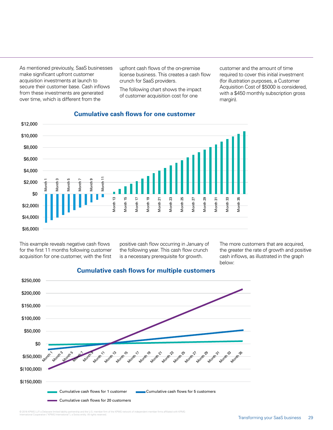As mentioned previously, SaaS businesses make significant upfront customer acquisition investments at launch to secure their customer base. Cash inflows from these investments are generated over time, which is different from the

upfront cash flows of the on-premise license business. This creates a cash flow crunch for SaaS providers.

The following chart shows the impact of customer acquisition cost for one

customer and the amount of time required to cover this initial investment (for illustration purposes, a Customer Acquisition Cost of \$5000 is considered, with a \$450 monthly subscription gross margin).



### **Cumulative cash flows for one customer**

This example reveals negative cash flows for the first 11 months following customer acquisition for one customer, with the first

positive cash flow occurring in January of the following year. This cash flow crunch is a necessary prerequisite for growth.

The more customers that are acquired, the greater the rate of growth and positive cash inflows, as illustrated in the graph below:



### **Cumulative cash flows for multiple customers**

© 2016 KPMG LLP, a Delaware limited liability partnership and the U.S. member firm of the KPMG network of independent member firms affiliated with KPMG<br>International Cooperative ("KPMG International"), a Swiss entity. All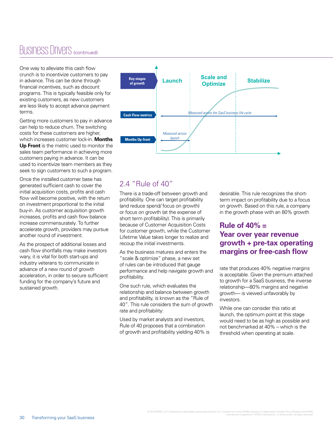# Business Drivers (continued)

One way to alleviate this cash flow crunch is to incentivize customers to pay in advance. This can be done through financial incentives, such as discount programs. This is typically feasible only for existing customers, as new customers are less likely to accept advance payment terms.

Getting more customers to pay in advance can help to reduce churn. The switching costs for these customers are higher, which increases customer lock-in. **Months Up Front** is the metric used to monitor the sales team performance in achieving more customers paying in advance. It can be used to incentivize team members as they seek to sign customers to such a program.

Once the installed customer base has generated sufficient cash to cover the initial acquisition costs, profits and cash flow will become positive, with the return on investment proportional to the initial buy-in. As customer acquisition growth increases, profits and cash flow balance increase commensurately. To further accelerate growth, providers may pursue another round of investment.

As the prospect of additional losses and cash flow shortfalls may make investors wary, it is vital for both start-ups and industry veterans to communicate in advance of a new round of growth acceleration, in order to secure sufficient funding for the company's future and sustained growth.



### 2.4 "Rule of 40"

There is a trade-off between growth and profitability. One can target profitability (and reduce spend/ focus on growth) or focus on growth (at the expense of short term profitability). This is primarily because of Customer Acquisition Costs for customer growth, while the Customer Lifetime Value takes longer to realize and recoup the initial investments.

As the business matures and enters the "scale & optimize" phase, a new set of rules can be introduced that gauge performance and help navigate growth and profitability.

One such rule, which evaluates the relationship and balance between growth and profitability, is known as the "Rule of 40". This rule considers the sum of growth rate and profitability:

Used by market analysts and investors, Rule of 40 proposes that a combination of growth and profitability yielding 40% is desirable. This rule recognizes the shortterm impact on profitability due to a focus on growth. Based on this rule, a company in the growth phase with an 80% growth

### **Rule of 40% = Year over year revenue growth + pre-tax operating margins or free-cash flow**

rate that produces 40% negative margins is acceptable. Given the premium attached to growth for a SaaS business, the inverse relationship—80% margins and negative growth— is viewed unfavorably by investors.

While one can consider this ratio at launch, the optimum point at this stage would need to be as high as possible and not benchmarked at 40% – which is the threshold when operating at scale.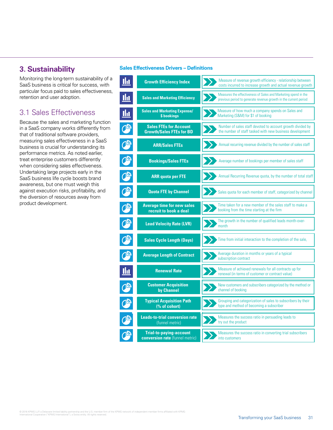Monitoring the long-term sustainability of a SaaS business is critical for success, with particular focus paid to sales effectiveness, retention and user adoption.

### 3.1 Sales Effectiveness

Because the sales and marketing function in a SaaS company works differently from that of traditional software providers, measuring sales effectiveness in a SaaS business is crucial for understanding its performance metrics. As noted earlier, treat enterprise customers differently when considering sales effectiveness. Undertaking large projects early in the SaaS business life cycle boosts brand awareness, but one must weigh this against execution risks, profitability, and the diversion of resources away from product development.

### **3. Sustainability Sales Effectiveness Drivers – Definitions**

| <u>llıt</u>    | <b>Growth Efficiency Index</b>                                    | Measure of revenue growth efficiency - relationship between<br>costs incurred to increase growth and actual revenue growth         |
|----------------|-------------------------------------------------------------------|------------------------------------------------------------------------------------------------------------------------------------|
| <u>lhı</u>     | <b>Sales and Marketing Efficiency</b>                             | Measures the effectiveness of Sales and Marketing spend in the<br>previous period to generate revenue growth in the current period |
| <u>llu</u>     | <b>Sales and Marketing Expense/</b><br>\$ bookings                | Measure of how much a company spends on Sales and<br>Marketing (S&M) for \$1 of booking                                            |
| ¥              | <b>Sales FTEs for Account</b><br><b>Growth/Sales FTEs for BD</b>  | Number of sales staff devoted to account growth divided by<br>the number of staff tasked with new business development             |
| <mark>∯</mark> | <b>ARR/Sales FTEs</b>                                             | Annual recurring revenue divided by the number of sales staff                                                                      |
| C              | <b>Bookings/Sales FTEs</b>                                        | Average number of bookings per member of sales staff                                                                               |
|                | <b>ARR quota per FTE</b>                                          | Annual Recurring Revenue quota, by the number of total staff                                                                       |
|                | <b>Quota FTE by Channel</b>                                       | Sales quota for each member of staff, categorized by channel                                                                       |
| 少              | <b>Average time for new sales</b><br>recruit to book a deal       | Time taken for a new member of the sales staff to make a<br>booking from the time starting at the firm                             |
|                | <b>Lead Velocity Rate (LVR)</b>                                   | The growth in the number of qualified leads month-over-<br>month                                                                   |
|                | <b>Sales Cycle Length (Days)</b>                                  | Time from initial interaction to the completion of the sale,                                                                       |
|                | <b>Average Length of Contract</b>                                 | Average duration in months or years of a typical<br>subscription contract                                                          |
| <u>llu</u>     | <b>Renewal Rate</b>                                               | Measure of achieved renewals for all contracts up for<br>renewal (in terms of customer or contract value)                          |
| 少              | <b>Customer Acquisition</b><br>by Channel                         | New customers and subscribers categorized by the method or<br>channel of booking                                                   |
|                | <b>Typical Acquisition Path</b><br>(% of cohort)                  | Grouping and categorization of sales to subscribers by their<br>type and method of becoming a subscriber                           |
|                | <b>Leads-to-trial conversion rate</b><br>(funnel metric)          | Measures the success ratio in persuading leads to<br>try out the product                                                           |
|                | <b>Trial-to-paying-account</b><br>conversion rate (funnel metric) | Measures the success ratio in converting trial subscribers<br>into customers                                                       |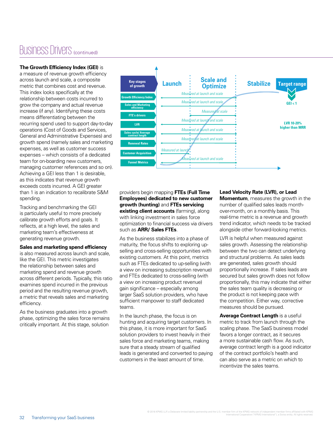# Business Drivers (continued)

### **The Growth Efficiency Index (GEI)** is

a measure of revenue growth efficiency across launch and scale, a composite metric that combines cost and revenue. This index looks specifically at the relationship between costs incurred to grow the company and actual revenue increase (if any). Identifying these costs means differentiating between the recurring spend used to support day-to-day operations (Cost of Goods and Services, General and Administrative Expenses) and growth spend (namely sales and marketing expenses, as well as customer success expenses – which consists of a dedicated team for on-boarding new customers, managing customer references and so on). Achieving a GEI less than 1 is desirable, as this indicates that revenue growth exceeds costs incurred. A GEI greater than 1 is an indication to recalibrate S&M spending.

Tracking and benchmarking the GEI is particularly useful to more precisely calibrate growth efforts and goals. It reflects, at a high level, the sales and marketing team's effectiveness at generating revenue growth.

#### **Sales and marketing spend efficiency**

is also measured across launch and scale, like the GEI. This metric investigates the relationship between sales and marketing spend and revenue growth across different periods. Typically, this ratio examines spend incurred in the previous period and the resulting revenue growth, a metric that reveals sales and marketing efficiency.

As the business graduates into a growth phase, optimizing the sales force remains critically important. At this stage, solution



providers begin mapping **FTEs (Full Time Employees) dedicated to new customer growth (hunting)** and **FTEs servicing existing client accounts** (farming), along with linking investment in sales force optimization to financial success via drivers such as **ARR/ Sales FTEs**.

As the business stabilizes into a phase of maturity, the focus shifts to exploring upselling and cross-selling opportunities with existing customers. At this point, metrics such as FTEs dedicated to up-selling (with a view on increasing subscription revenue) and FTEs dedicated to cross-selling (with a view on increasing product revenue) gain significance – especially among larger SaaS solution providers, who have sufficient manpower to staff dedicated teams.

In the launch phase, the focus is on hunting and acquiring target customers. In this phase, it is more important for SaaS solution providers to invest heavily in their sales force and marketing teams, making sure that a steady stream of qualified leads is generated and converted to paying customers in the least amount of time.

#### **Lead Velocity Rate (LVR), or Lead**

**Momentum**, measures the growth in the number of qualified sales leads monthover-month, on a monthly basis. This real-time metric is a revenue and growth trend indicator, which needs to be tracked alongside other forward-looking metrics.

LVR is helpful when measured against sales growth. Assessing the relationship between the two can detect underlying and structural problems. As sales leads are generated, sales growth should proportionally increase. If sales leads are secured but sales growth does not follow proportionally, this may indicate that either the sales team quality is decreasing or the product is not keeping pace with the competition. Either way, corrective measures should be pursued.

**Average Contract Length** is a useful metric to track from launch through the scaling phase. The SaaS business model favors a longer contract, as it secures a more sustainable cash flow. As such, average contract length is a good indicator of the contract portfolio's health and can also serve as a metric on which to incentivize the sales teams.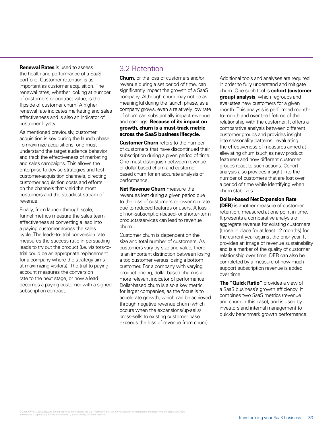**Renewal Rates** is used to assess the health and performance of a SaaS portfolio. Customer retention is as important as customer acquisition. The renewal rates, whether looking at number of customers or contract value, is the flipside of customer churn. A higher renewal rate indicates marketing and sales effectiveness and is also an indicator of customer loyalty.

As mentioned previously, customer acquisition is key during the launch phase. To maximize acquisitions, one must understand the target audience behavior and track the effectiveness of marketing and sales campaigns. This allows the enterprise to devise strategies and test customer-acquisition channels, directing customer acquisition costs and efforts on the channels that yield the most customers and the steadiest stream of revenue.

Finally, from launch through scale, funnel metrics measure the sales team effectiveness at converting a lead into a paying customer across the sales cycle. The leads-to- trial conversion rate measures the success ratio in persuading leads to try out the product (i.e. visitors-totrial could be an appropriate replacement for a company where the strategy aims at maximizing visitors). The trial-to-paying account measures the conversion rate to the next stage, or how a lead becomes a paying customer with a signed subscription contract.

### 3.2 Retention

**Churn**, or the loss of customers and/or revenue during a set period of time, can significantly impact the growth of a SaaS company. Although churn may not be as meaningful during the launch phase, as a company grows, even a relatively low rate of churn can substantially impact revenue and earnings. **Because of its impact on growth, churn is a must-track metric across the SaaS business lifecycle.**

**Customer Churn** refers to the number of customers that have discontinued their subscription during a given period of time. One must distinguish between revenueor dollar-based churn and customerbased churn for an accurate analysis of performance.

**Net Revenue Churn** measure the revenues lost during a given period due to the loss of customers or lower run rate due to reduced features or users. A loss of non-subscription-based- or shorter-term products/services can lead to revenue churn.

Customer churn is dependent on the size and total number of customers. As customers vary by size and value, there is an important distinction between losing a top customer versus losing a bottom customer. For a company with varying product pricing, dollar-based churn is a more relevant indicator of performance. Dollar-based churn is also a key metric for larger companies, as the focus is to accelerate growth, which can be achieved through negative revenue churn (which occurs when the expansions/up-sells/ cross-sells to existing customer base exceeds the loss of revenue from churn).

Additional tools and analyses are required in order to fully understand and mitigate churn. One such tool is **cohort (customer group) analysis**, which regroups and evaluates new customers for a given month. This analysis is performed monthto-month and over the lifetime of the relationship with the customer. It offers a comparative analysis between different customer groups and provides insight into seasonality patterns, evaluating the effectiveness of measures aimed at alleviating churn (such as new product features) and how different customer groups react to such actions. Cohort analysis also provides insight into the number of customers that are lost over a period of time while identifying when churn stabilizes.

### **Dollar-based Net Expansion Rate**

**(DER)** is another measure of customer retention, measured at one point in time. It presents a comparative analysis of aggregate revenue for existing customers (those in place for at least 12 months) for the current year against the prior year. It provides an image of revenue sustainability and is a marker of the quality of customer relationship over time. DER can also be completed by a measure of how much support subscription revenue is added over time.

**The "Quick Ratio"** provides a view of a SaaS business's growth efficiency. It combines two SaaS metrics (revenue and churn in this case), and is used by investors and internal management to quickly benchmark growth performance.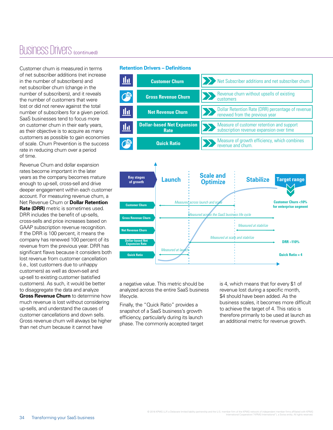# Business Drivers (continued)

Customer churn is measured in terms of net subscriber additions (net increase in the number of subscribers) and net subscriber churn (change in the number of subscribers), and it reveals the number of customers that were lost or did not renew against the total number of subscribers for a given period. SaaS businesses tend to focus more on customer churn in their early years, as their objective is to acquire as many customers as possible to gain economies of scale. Churn Prevention is the success rate in reducing churn over a period of time.

Revenue Churn and dollar expansion rates become important in the later years as the company becomes mature enough to up-sell, cross-sell and drive deeper engagement within each customer account. For measuring revenue churn, a Net Revenue Churn or **Dollar Retention Rate (DRR)** metric is sometimes used. DRR includes the benefit of up-sells, cross-sells and price increases based on GAAP subscription revenue recognition. If the DRR is 100 percent, it means the company has renewed 100 percent of its revenue from the previous year. DRR has significant flaws because it considers both lost revenue from customer cancellation (i.e., lost customers due to unhappy customers) as well as down-sell and up-sell to existing customer (satisfied customers). As such, it would be better to disaggregate the data and analyze **Gross Revenue Churn** to determine how much revenue is lost without considering up-sells, and understand the causes of customer cancellations and down sells. Gross revenue churn will always be higher than net churn because it cannot have

#### **Retention Drivers – Definitions**



Measured at scale and stabilize

Measured across the SaaS business life cycle

Measured at stabilize

a negative value. This metric should be analyzed across the entire SaaS business lifecycle.

Measured at lau

**Dollar-based Net Expansion Rate**

**Quick Ratio**

**Net Revenue Churn** 

**Gross Revenue Churn** 

Finally, the "Quick Ratio" provides a snapshot of a SaaS business's growth efficiency, particularly during its launch phase. The commonly accepted target is 4, which means that for every \$1 of revenue lost during a specific month, \$4 should have been added. As the business scales, it becomes more difficult to achieve the target of 4. This ratio is therefore primarily to be used at launch as an additional metric for revenue growth.

**DRR ~110%** 

**Quick Ratio = 4**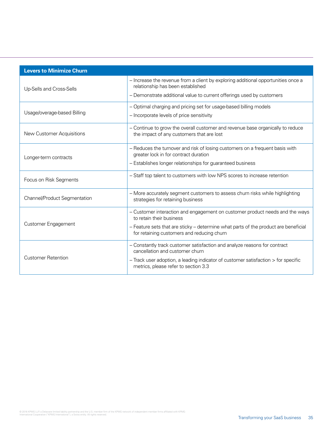| <b>Levers to Minimize Churn</b> |                                                                                                                                   |  |
|---------------------------------|-----------------------------------------------------------------------------------------------------------------------------------|--|
| Up-Sells and Cross-Sells        | - Increase the revenue from a client by exploring additional opportunities once a<br>relationship has been established            |  |
|                                 | - Demonstrate additional value to current offerings used by customers                                                             |  |
|                                 | - Optimal charging and pricing set for usage-based billing models                                                                 |  |
| Usage/overage-based Billing     | - Incorporate levels of price sensitivity                                                                                         |  |
| New Customer Acquisitions       | - Continue to grow the overall customer and revenue base organically to reduce<br>the impact of any customers that are lost       |  |
|                                 | - Reduces the turnover and risk of losing customers on a frequent basis with<br>greater lock in for contract duration             |  |
| Longer-term contracts           | - Establishes longer relationships for guaranteed business                                                                        |  |
| Focus on Risk Segments          | - Staff top talent to customers with low NPS scores to increase retention                                                         |  |
| Channel/Product Segmentation    | - More accurately segment customers to assess churn risks while highlighting<br>strategies for retaining business                 |  |
|                                 | - Customer interaction and engagement on customer product needs and the ways<br>to retain their business                          |  |
| <b>Customer Engagement</b>      | - Feature sets that are sticky - determine what parts of the product are beneficial<br>for retaining customers and reducing churn |  |
|                                 | - Constantly track customer satisfaction and analyze reasons for contract<br>cancellation and customer churn                      |  |
| <b>Customer Retention</b>       | - Track user adoption, a leading indicator of customer satisfaction > for specific<br>metrics, please refer to section 3.3        |  |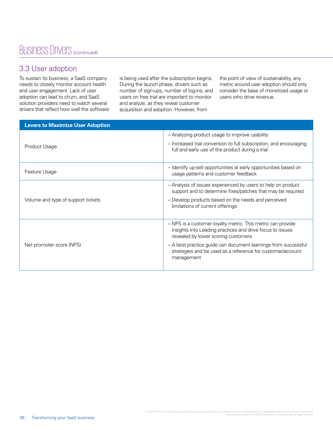# Business Drivers (continued)

### 3.3 User adoption

To sustain its business, a SaaS company needs to closely monitor account health and user engagement. Lack of user adoption can lead to churn, and SaaS solution providers need to watch several drivers that reflect how well the software is being used after the subscription begins. During the launch phase, drivers such as number of sign-ups, number of log-ins, and users on free trial are important to monitor and analyze, as they reveal customer acquisition and adoption. However, from

the point of view of sustainability, any metric around user adoption should only consider the base of monetized usage or users who drive revenue.

| <b>Levers to Maximize User Adoption</b> |                                                                                                                                                                 |
|-----------------------------------------|-----------------------------------------------------------------------------------------------------------------------------------------------------------------|
|                                         | - Analyzing product usage to improve usability                                                                                                                  |
| Product Usage                           | - Increased trial conversion to full subscription, and encouraging<br>full and early use of the product during a trial                                          |
| Feature Usage                           | - Identify up-sell opportunities at early opportunities based on<br>usage patterns and customer feedback                                                        |
|                                         | - Analysis of issues experienced by users to help on product<br>support and to determine fixes/patches that may be required                                     |
| Volume and type of support tickets      | - Develop products based on the needs and perceived<br>limitations of current offerings                                                                         |
|                                         | - NPS is a customer loyalty metric. This metric can provide<br>insights into Leading practices and drive focus to issues<br>revealed by lower scoring customers |
| Net promoter score (NPS)                | - A best practice guide can document learnings from successful<br>strategies and be used as a reference for customer/account<br>management                      |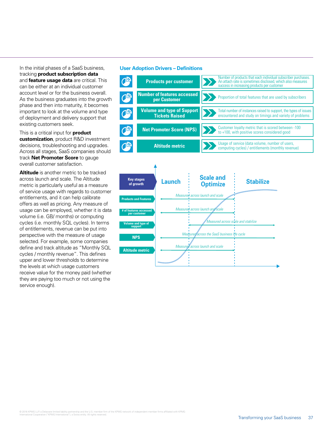In the initial phases of a SaaS business, tracking **product subscription data** and **feature usage data** are critical. This can be either at an individual customer account level or for the business overall. As the business graduates into the growth phase and then into maturity, it becomes important to look at the volume and type of deployment and delivery support that existing customers seek.

This is a critical input for **product customization**, product R&D investment decisions, troubleshooting and upgrades. Across all stages, SaaS companies should track **Net Promoter Score** to gauge overall customer satisfaction.

**Altitude** is another metric to be tracked across launch and scale. The Altitude metric is particularly useful as a measure of service usage with regards to customer entitlements, and it can help calibrate offers as well as pricing. Any measure of usage can be employed, whether it is data volume (i.e. GB/ months) or computing cycles (i.e. monthly SQL cycles). In terms of entitlements, revenue can be put into perspective with the measure of usage selected. For example, some companies define and track altitude as "Monthly SQL cycles / monthly revenue". This defines upper and lower thresholds to determine the levels at which usage customers receive value for the money paid (whether they are paying too much or not using the service enough).

#### **User Adoption Drivers – Definitions**

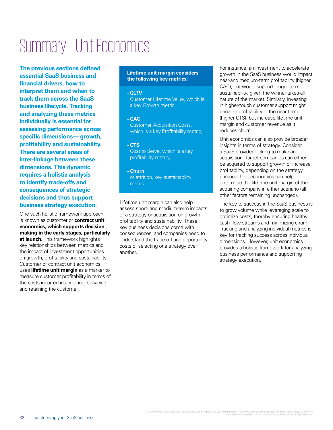# Summary – Unit Economics

**The previous sections defined essential SaaS business and financial drivers, how to interpret them and when to track them across the SaaS business lifecycle. Tracking and analyzing these metrics individually is essential for assessing performance across specific dimensions— growth, profitability and sustainability. There are several areas of inter-linkage between these dimensions. This dynamic requires a holistic analysis to identify trade-offs and consequences of strategic decisions and thus support business strategy execution.**

One such holistic framework approach is known as customer or **contract unit economics, which supports decision making in the early stages, particularly at launch.** This framework highlights key relationships between metrics and the impact of investment opportunities on growth, profitability and sustainability. Customer or contract unit economics uses **lifetime unit margin** as a marker to measure customer profitability in terms of the costs incurred in acquiring, servicing and retaining the customer.

#### **Lifetime unit margin considers the following key metrics:**

### **- CLTV**

Customer Lifetime Value, which is a key Growth metric,

**- CAC** Customer Acquisition Costs, which is a key Profitability metric,

**- CTS** Cost to Serve, which is a key profitability metric,

**- Churn** or attrition, key sustainability metric.

Lifetime unit margin can also help assess short- and medium-term impacts of a strategy or acquisition on growth, profitability and sustainability. These key business decisions come with consequences, and companies need to understand the trade-off and opportunity costs of selecting one strategy over another.

For instance, an investment to accelerate growth in the SaaS business would impact near-and medium-term profitability (higher CAC), but would support longer-term sustainability, given the winner-takes-all nature of the market. Similarly, investing in higher-touch customer support might penalize profitability in the near term (higher CTS), but increase lifetime unit margin and customer revenue as it reduces churn.

Unit economics can also provide broader insights in terms of strategy. Consider a SaaS provider looking to make an acquisition. Target companies can either be acquired to support growth or increase profitability, depending on the strategy pursued. Unit economics can help determine the lifetime unit margin of the acquiring company in either scenario (all other factors remaining unchanged).

The key to success in the SaaS business is to grow volume while leveraging scale to optimize costs, thereby ensuring healthy cash flow streams and minimizing churn. Tracking and analyzing individual metrics is key for tracking success across individual dimensions. However, unit economics provides a holistic framework for analyzing business performance and supporting strategy execution.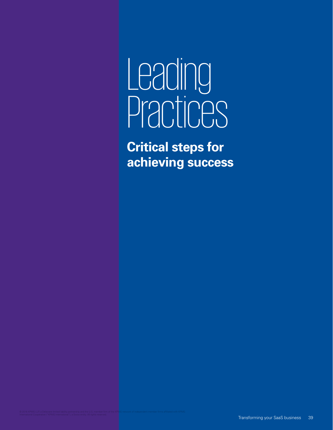# Leading Practices

**Critical steps for achieving success**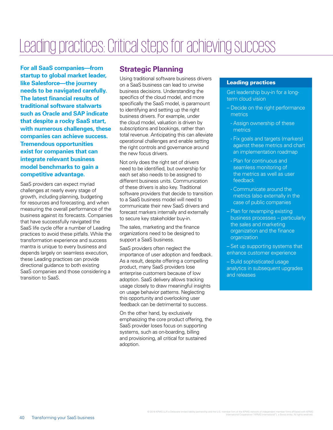# Leading practices: Critical steps for achieving success

**For all SaaS companies—from startup to global market leader, like Salesforce—the journey needs to be navigated carefully. The latest financial results of traditional software stalwarts such as Oracle and SAP indicate that despite a rocky SaaS start, with numerous challenges, these companies can achieve success. Tremendous opportunities exist for companies that can integrate relevant business model benchmarks to gain a competitive advantage.** 

SaaS providers can expect myriad challenges at nearly every stage of growth, including planning, budgeting for resources and forecasting, and when measuring the overall performance of the business against its forecasts. Companies that have successfully navigated the SaaS life cycle offer a number of Leading practices to avoid these pitfalls. While the transformation experience and success mantra is unique to every business and depends largely on seamless execution, these Leading practices can provide directional guidance to both existing SaaS companies and those considering a transition to SaaS.

### **Strategic Planning**

Using traditional software business drivers on a SaaS business can lead to unwise business decisions. Understanding the specifics of the cloud model, and more specifically the SaaS model, is paramount to identifying and setting up the right business drivers. For example, under the cloud model, valuation is driven by subscriptions and bookings, rather than total revenue. Anticipating this can alleviate operational challenges and enable setting the right controls and governance around the new focus drivers.

Not only does the right set of drivers need to be identified, but ownership for each set also needs to be assigned to different business units. Communication of these drivers is also key. Traditional software providers that decide to transition to a SaaS business model will need to communicate their new SaaS drivers and forecast markers internally and externally to secure key stakeholder buy-in.

The sales, marketing and the finance organizations need to be designed to support a SaaS business.

SaaS providers often neglect the importance of user adoption and feedback. As a result, despite offering a compelling product, many SaaS providers lose enterprise customers because of low adoption. SaaS delivery allows tracking usage closely to draw meaningful insights on usage behavior patterns. Neglecting this opportunity and overlooking user feedback can be detrimental to success.

On the other hand, by exclusively emphasizing the core product offering, the SaaS provider loses focus on supporting systems, such as on-boarding, billing and provisioning, all critical for sustained adoption.

### Leading practices

Get leadership buy-in for a longterm cloud vision

- Decide on the right performance **metrics** 
	- Assign ownership of these metrics
	- Fix goals and targets (markers) against these metrics and chart an implementation roadmap
- Plan for continuous and seamless monitoring of the metrics as well as user feedback
- Communicate around the metrics (also externally in the case of public companies
- Plan for revamping existing business processes – particularly the sales and marketing organization and the finance organization
- Set up supporting systems that enhance customer experience
- Build sophisticated usage analytics in subsequent upgrades and releases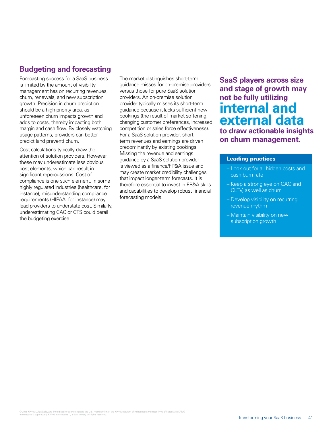### **Budgeting and forecasting**

Forecasting success for a SaaS business is limited by the amount of visibility management has on recurring revenues, churn, renewals, and new subscription growth. Precision in churn prediction should be a high-priority area, as unforeseen churn impacts growth and adds to costs, thereby impacting both margin and cash flow. By closely watching usage patterns, providers can better predict (and prevent) churn.

Cost calculations typically draw the attention of solution providers. However, these may underestimate less obvious cost elements, which can result in significant repercussions. Cost of compliance is one such element. In some highly regulated industries (healthcare, for instance), misunderstanding compliance requirements (HIPAA, for instance) may lead providers to understate cost. Similarly, underestimating CAC or CTS could derail the budgeting exercise.

The market distinguishes short-term guidance misses for on-premise providers versus those for pure SaaS solution providers. An on-premise solution provider typically misses its short-term guidance because it lacks sufficient new bookings (the result of market softening, changing customer preferences, increased competition or sales force effectiveness). For a SaaS solution provider, shortterm revenues and earnings are driven predominantly by existing bookings. Missing the revenue and earnings guidance by a SaaS solution provider is viewed as a finance/FP&A issue and may create market credibility challenges that impact longer-term forecasts. It is therefore essential to invest in FP&A skills and capabilities to develop robust financial forecasting models.

**SaaS players across size and stage of growth may not be fully utilizing internal and external data to draw actionable insights on churn management.**

#### Leading practices

- Look out for all hidden costs and cash burn rate
- Keep a strong eye on CAC and CLTV, as well as churn
- Develop visibility on recurring revenue rhythm
- Maintain visibility on new subscription growth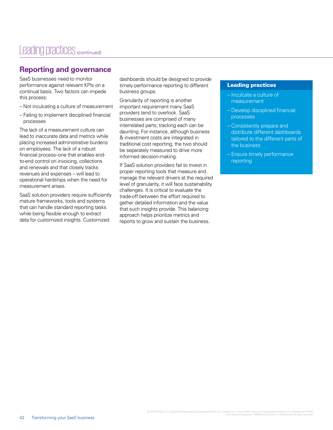### **Reporting and governance**

SaaS businesses need to monitor performance against relevant KPIs on a continual basis. Two factors can impede this process:

- Not inculcating a culture of measurement
- Failing to implement disciplined financial processes

The lack of a measurement culture can lead to inaccurate data and metrics while placing increased administrative burdens on employees. The lack of a robust financial process–one that enables endto-end control on invoicing, collections and renewals and that closely tracks revenues and expenses – will lead to operational hardships when the need for measurement arises.

SaaS solution providers require sufficiently mature frameworks, tools and systems that can handle standard reporting tasks while being flexible enough to extract data for customized insights. Customized

dashboards should be designed to provide timely performance reporting to different business groups.

Granularity of reporting is another important requirement many SaaS providers tend to overlook. SaaS businesses are comprised of many interrelated parts; tracking each can be daunting. For instance, although business & investment costs are integrated in traditional cost reporting, the two should be separately measured to drive more informed decision-making.

If SaaS solution providers fail to invest in proper reporting tools that measure and manage the relevant drivers at the required level of granularity, it will face sustainability challenges. It is critical to evaluate the trade-off between the effort required to gather detailed information and the value that such insights provide. This balancing approach helps prioritize metrics and reports to grow and sustain the business.

### Leading practices

- Inculcate a culture of measurement
- Develop disciplined financial processes
- Consistently prepare and distribute different dashboards tailored to the different parts of the business
- Ensure timely performance reporting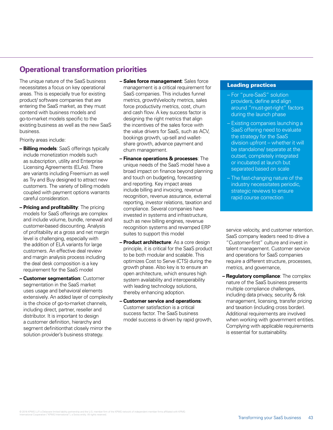### **Operational transformation priorities**

The unique nature of the SaaS business necessitates a focus on key operational areas. This is especially true for existing product/ software companies that are entering the SaaS market, as they must contend with business models and go-to-market models specific to the existing business as well as the new SaaS business.

Priority areas include:

- **Billing models**: SaaS offerings typically include monetization models such as subscription, utility and Enterprise Licensing Agreements (ELAs). There are variants including Freemium as well as Try and Buy designed to attract new customers. The variety of billing models coupled with payment options warrants careful consideration.
- **Pricing and profitability**: The pricing models for SaaS offerings are complex and include volume, bundle, renewal and customer-based discounting. Analysis of profitability at a gross and net margin level is challenging, especially with the addition of ELA variants for large customers. An effective deal review and margin analysis process including the deal desk composition is a key requirement for the SaaS model
- **Customer segmentation**: Customer segmentation in the SaaS market uses usage and behavioral elements extensively. An added layer of complexity is the choice of go-to-market channels, including direct, partner, reseller and distributor. It is important to design a customer definition, hierarchy and segment definitionthat closely mirror the solution provider's business strategy.
- **Sales force management**: Sales force management is a critical requirement for SaaS companies. This includes funnel metrics, growth/velocity metrics, sales force productivity metrics, cost, churn and cash flow. A key success factor is designing the right metrics that align the incentives of the sales force with the value drivers for SaaS, such as ACV, bookings growth, up-sell and walletshare growth, advance payment and churn management.
- **Finance operations & processes**: The unique needs of the SaaS model have a broad impact on finance beyond planning and touch on budgeting, forecasting and reporting. Key impact areas include billing and invoicing, revenue recognition, revenue assurance, external reporting, investor relations, taxation and compliance. Several companies have invested in systems and infrastructure, such as new billing engines, revenue recognition systems and revamped ERP suites to support this model
- **Product architecture**: As a core design principle, it is critical for the SaaS product to be both modular and scalable. This optimizes Cost to Serve (CTS) during the growth phase. Also key is to ensure an open architecture, which ensures high system availability and interoperability with leading technology solutions, thereby enhancing adoption.
- **Customer service and operations**: Customer satisfaction is a critical success factor. The SaaS business model success is driven by rapid growth,

#### Leading practices

- For "pure-SaaS" solution providers, define and align around "must-get-right" factors during the launch phase
- Existing companies launching a SaaS offering need to evaluate the strategy for the SaaS division upfront – whether it will be standalone/ separate at the outset, completely integrated or incubated at launch but separated based on scale
- The fast-changing nature of the industry necessitates periodic, strategic reviews to ensure rapid course correction

service velocity, and customer retention. SaaS company leaders need to drive a "Customer-first" culture and invest in talent management. Customer service and operations for SaaS companies require a different structure, processes, metrics, and governance,

**– Regulatory compliance**: The complex nature of the SaaS business presents multiple compliance challenges, including data privacy, security & risk management, licensing, transfer pricing and taxation (including cross border). Additional requirements are involved when working with government entities. Complying with applicable requirements is essential for sustainability.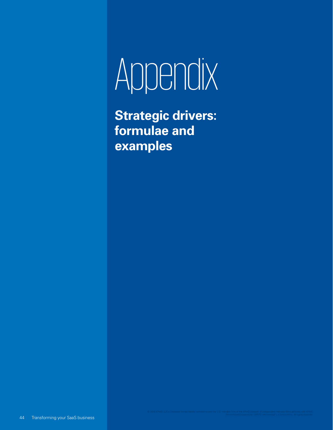# Appendix

**Strategic drivers: formulae and examples**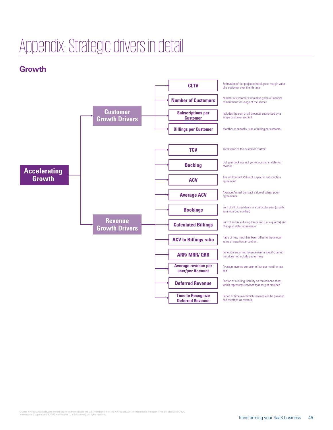# Appendix: Strategic drivers in detail

# **Growth**

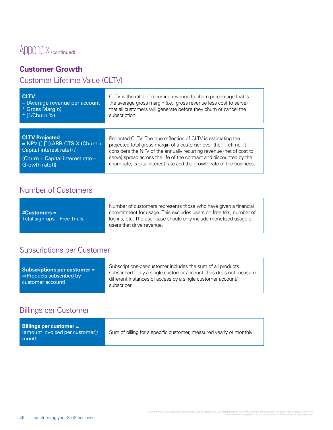# Appendix (continued)

# **Customer Growth**

# Customer Lifetime Value (CLTV)

| <b>CLTV</b>                                  | CLTV is the ratio of recurring revenue to churn percentage that is     |
|----------------------------------------------|------------------------------------------------------------------------|
| $=$ (Average revenue per account             | the average gross margin (i.e., gross revenue less cost to serve)      |
| * Gross Margin)                              | that all customers will generate before they churn or cancel the       |
| * (1/Churn %)                                | subscription.                                                          |
| <b>CLTV Projected</b>                        | Projected CLTV: The true reflection of CLTV is estimating the          |
| = NPV {[ ] <sup>T</sup> [(ARR-CTS X (Churn + | projected total gross margin of a customer over their lifetime. It     |
| Capital interest rate)) /                    | considers the NPV of the annually recurring revenue (net of cost to    |
| (Churn + Capital interest rate -             | serve) spread across the life of the contract and discounted by the    |
| Growth rate)]}                               | churn rate, capital interest rate and the growth rate of the business. |

# Number of Customers

|                              | Number of customers represents those who have given a financial                                 |
|------------------------------|-------------------------------------------------------------------------------------------------|
|                              | commitment for usage. This excludes users on free trial, number of                              |
| Total sign-ups - Free Trials | log-ins, etc. The user base should only include monetized usage or<br>users that drive revenue. |

# Subscriptions per Customer

# Billings per Customer

| Billings per customer $=$<br>(amount invoiced per customer)/<br>month | Sum of billing for a specific customer, measured yearly or monthly. |
|-----------------------------------------------------------------------|---------------------------------------------------------------------|
|-----------------------------------------------------------------------|---------------------------------------------------------------------|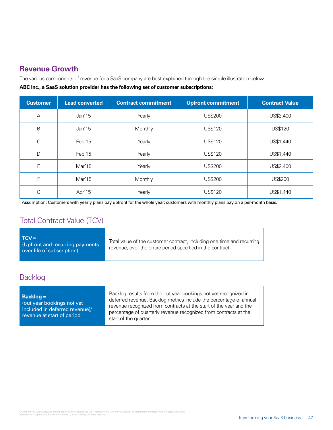### **Revenue Growth**

The various components of revenue for a SaaS company are best explained through the simple illustration below:

**ABC Inc., a SaaS solution provider has the following set of customer subscriptions:**

| <b>Customer</b> | <b>Lead converted</b> | <b>Contract commitment</b> | <b>Upfront commitment</b> | <b>Contract Value</b> |
|-----------------|-----------------------|----------------------------|---------------------------|-----------------------|
| A               | Jan'15                | Yearly                     | <b>US\$200</b>            | US\$2,400             |
| B               | Jan'15                | Monthly                    | US\$120                   | <b>US\$120</b>        |
| С               | Feb'15                | Yearly                     | <b>US\$120</b>            | US\$1,440             |
| D               | Feb'15                | Yearly                     | US\$120                   | US\$1,440             |
| E               | Mar'15                | Yearly                     | <b>US\$200</b>            | US\$2,400             |
| F               | Mar'15                | Monthly                    | <b>US\$200</b>            | <b>US\$200</b>        |
| G               | Apr'15                | Yearly                     | <b>US\$120</b>            | US\$1,440             |

Assumption: Customers with yearly plans pay upfront for the whole year; customers with monthly plans pay on a per-month basis.

### Total Contract Value (TCV)

| $TCV =$<br>Total value of the customer contract, including one time and recurring<br>(Upfront and recurring payments<br>revenue, over the entire period specified in the contract.<br>over life of subscription) |
|------------------------------------------------------------------------------------------------------------------------------------------------------------------------------------------------------------------|
|------------------------------------------------------------------------------------------------------------------------------------------------------------------------------------------------------------------|

# Backlog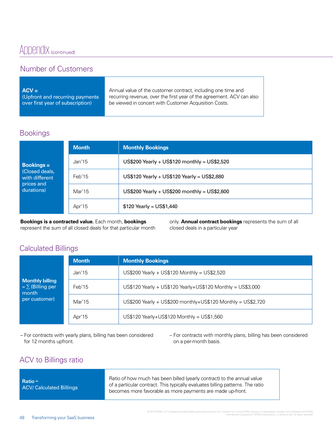# Appendix (continued)

# Number of Customers

| $ACV =$                          | Annual value of the customer contract, including one time and         |
|----------------------------------|-----------------------------------------------------------------------|
| (Upfront and recurring payments  | recurring revenue, over the first year of the agreement. ACV can also |
| over first year of subscription) | be viewed in concert with Customer Acquisition Costs.                 |
|                                  |                                                                       |

## Bookings

|                                                                                                                          | <b>Month</b> | <b>Monthly Bookings</b>                      |
|--------------------------------------------------------------------------------------------------------------------------|--------------|----------------------------------------------|
| Jan'15<br><b>Bookings =</b><br>Closed deals,<br>Feb'15<br>with different<br>prices and<br>durations)<br>Mar'15<br>Apr'15 |              | US\$200 Yearly + US\$120 monthly = US\$2,520 |
|                                                                                                                          |              | US\$120 Yearly + US\$120 Yearly = US\$2,880  |
|                                                                                                                          |              | US\$200 Yearly + US\$200 monthly = US\$2,600 |
|                                                                                                                          |              | $$120$ Yearly = US\$1,440                    |

**Bookings is a contracted value.** Each month, **bookings** represent the sum of all closed deals for that particular month only. **Annual contract bookings** represents the sum of all closed deals in a particular year

### Calculated Billings

|                                                                           | <b>Month</b> | <b>Monthly Bookings</b>                                      |
|---------------------------------------------------------------------------|--------------|--------------------------------------------------------------|
| <b>Monthly billing</b><br>$= \sum$ (Billing per<br>month<br>per customer) | Jan'15       | US\$200 Yearly + US\$120 Monthly = US\$2,520                 |
|                                                                           | Feb'15       | US\$120 Yearly + US\$120 Yearly+US\$120 Monthly = US\$3,000  |
|                                                                           | Mar'15       | US\$200 Yearly + US\$200 monthly+US\$120 Monthly = US\$2,720 |
|                                                                           | Apr'15       | US\$120 Yearly+US\$120 Monthly = US\$1,560                   |

– For contracts with yearly plans, billing has been considered for 12 months upfront.

– For contracts with monthly plans, billing has been considered on a per-month basis.

# ACV to Billings ratio

| $Ratio =$<br><b>ACV/ Calculated Billings</b> | Ratio of how much has been billed (yearly contract) to the annual value<br>of a particular contract. This typically evaluates billing patterns. The ratio<br>becomes more favorable as more payments are made up-front. |  |
|----------------------------------------------|-------------------------------------------------------------------------------------------------------------------------------------------------------------------------------------------------------------------------|--|
|                                              |                                                                                                                                                                                                                         |  |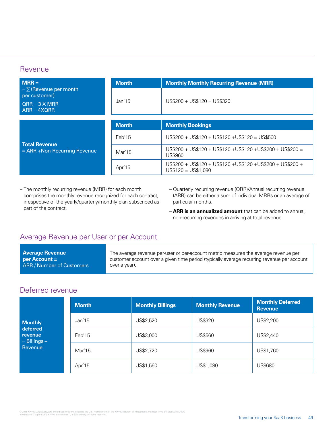### **Revenue**

| $MRR =$                                                                         | <b>Month</b>      | <b>Monthly Monthly Recurring Revenue (MRR)</b>                                     |  |
|---------------------------------------------------------------------------------|-------------------|------------------------------------------------------------------------------------|--|
| $=\sum$ (Revenue per month<br>per customer)<br>$ORR = 3$ X MRR<br>$ARR = 4XQRR$ | Jan <sub>15</sub> | $US$200 + US$120 = US$320$                                                         |  |
|                                                                                 |                   |                                                                                    |  |
| <b>Total Revenue</b><br>$= ARR + Non-Recuring$ Revenue                          | <b>Month</b>      | <b>Monthly Bookings</b>                                                            |  |
|                                                                                 | Feb'15            | $US$200 + US$120 + US$120 + US$120 = US$560$                                       |  |
|                                                                                 | Mar'15            | $US$200 + US$120 + US$120 + US$120 + US$120 + US$200 + US$200 =$<br>US\$960        |  |
|                                                                                 | Apr'15            | US\$200 + US\$120 + US\$120 + US\$120 + US\$200 + US\$200 +<br>$US$120 = US$1.080$ |  |

– The monthly recurring revenue (MRR) for each month comprises the monthly revenue recognized for each contract, irrespective of the yearly/quarterly/monthly plan subscribed as part of the contract.

- Quarterly recurring revenue (QRR)/Annual recurring revenue (ARR) can be either a sum of individual MRRs or an average of particular months.
- **ARR is an annualized amount** that can be added to annual, non-recurring revenues in arriving at total revenue.

## Average Revenue per User or per Account

| <b>Average Revenue</b>           | The average revenue per-user or per-account metric measures the average revenue per        |
|----------------------------------|--------------------------------------------------------------------------------------------|
| l per Account =                  | customer account over a given time period (typically average recurring revenue per account |
| <b>ARR / Number of Customers</b> | over a year).                                                                              |
|                                  |                                                                                            |

### Deferred revenue

|                                         | <b>Month</b> | <b>Monthly Billings</b> | <b>Monthly Revenue</b> | <b>Monthly Deferred</b><br><b>Revenue</b> |
|-----------------------------------------|--------------|-------------------------|------------------------|-------------------------------------------|
| <b>Monthly</b>                          | Jan'15       | US\$2,520               | US\$320                | US\$2,200                                 |
| deferred<br>revenue<br>$=$ Billings $-$ | Feb'15       | US\$3,000               | US\$560                | US\$2,440                                 |
| Revenue                                 | Mar'15       | US\$2,720               | US\$960                | US\$1,760                                 |
|                                         | Apr'15       | US\$1,560               | US\$1,080              | US\$680                                   |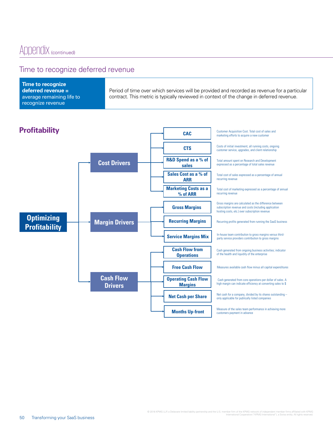## Time to recognize deferred revenue

| Time to recognize<br>deferred revenue $=$ | Period of time over which services will be provided and recorded as revenue for a particular |
|-------------------------------------------|----------------------------------------------------------------------------------------------|
| average remaining life to                 | contract. This metric is typically reviewed in context of the change in deferred revenue.    |
| recognize revenue                         |                                                                                              |

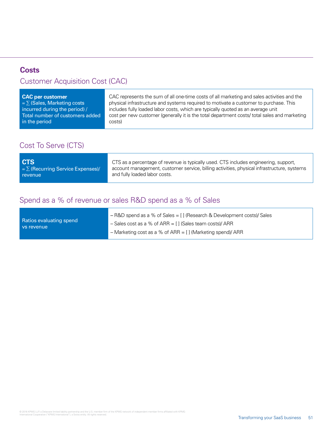### **Costs**

# Customer Acquisition Cost (CAC)

| CAC per customer                 | CAC represents the sum of all one-time costs of all marketing and sales activities and the   |
|----------------------------------|----------------------------------------------------------------------------------------------|
| $= \sum$ (Sales, Marketing costs | physical infrastructure and systems required to motivate a customer to purchase. This        |
| incurred during the period) /    | includes fully loaded labor costs, which are typically quoted as an average unit             |
| Total number of customers added  | cost per new customer (generally it is the total department costs/ total sales and marketing |
| in the period                    | costs)                                                                                       |
|                                  |                                                                                              |

# Cost To Serve (CTS)

# Spend as a % of revenue or sales R&D spend as a % of Sales

| Ratios evaluating spend<br>l vs revenue | - R&D spend as a % of Sales = [] (Research & Development costs)/ Sales |
|-----------------------------------------|------------------------------------------------------------------------|
|                                         | $-$ Sales cost as a % of ARR = [] (Sales team costs)/ ARR              |
|                                         | $-$ Marketing cost as a % of ARR = [] (Marketing spend)/ ARR           |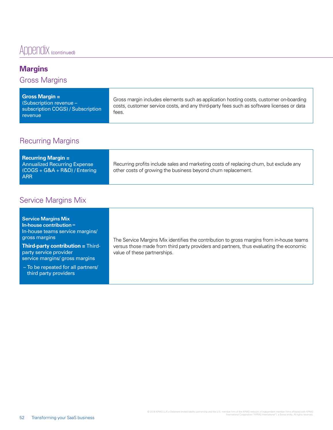# Appendix (continued)

# **Margins**

Gross Margins

| Gross Margin =<br><b>Subscription revenue -</b><br>subscription COGS) / Subscription<br>revenue | Gross margin includes elements such as application hosting costs, customer on-boarding<br>costs, customer service costs, and any third-party fees such as software licenses or data<br>tees. |
|-------------------------------------------------------------------------------------------------|----------------------------------------------------------------------------------------------------------------------------------------------------------------------------------------------|
|-------------------------------------------------------------------------------------------------|----------------------------------------------------------------------------------------------------------------------------------------------------------------------------------------------|

# Recurring Margins

| <b>Recurring Margin <math>=</math></b><br><b>Annualized Recurring Expense</b><br>$(COGS + G&A + R&D)/Entering$<br><b>ARR</b> | Recurring profits include sales and marketing costs of replacing churn, but exclude any<br>other costs of growing the business beyond churn replacement. |
|------------------------------------------------------------------------------------------------------------------------------|----------------------------------------------------------------------------------------------------------------------------------------------------------|
|------------------------------------------------------------------------------------------------------------------------------|----------------------------------------------------------------------------------------------------------------------------------------------------------|

# Service Margins Mix

| <b>Service Margins Mix</b><br>In-house contribution $=$<br>In-house teams service margins/<br>gross margins<br><b>Third-party contribution = Third-</b><br>party service provider<br>service margins/ gross margins | The Service Margins Mix identifies the contribution to gross margins from in-house teams<br>versus those made from third party providers and partners, thus evaluating the economic<br>value of these partnerships. |
|---------------------------------------------------------------------------------------------------------------------------------------------------------------------------------------------------------------------|---------------------------------------------------------------------------------------------------------------------------------------------------------------------------------------------------------------------|
| - To be repeated for all partners/<br>third party providers                                                                                                                                                         |                                                                                                                                                                                                                     |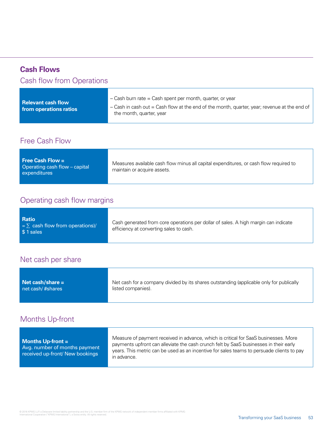# **Cash Flows**

# Cash flow from Operations

| $-$ Cash burn rate = Cash spent per month, quarter, or year<br><b>Relevant cash flow</b><br>- Cash in cash out = Cash flow at the end of the month, quarter, year; revenue at the end of<br>from operations ratios<br>the month, quarter, year |
|------------------------------------------------------------------------------------------------------------------------------------------------------------------------------------------------------------------------------------------------|
|------------------------------------------------------------------------------------------------------------------------------------------------------------------------------------------------------------------------------------------------|

# Free Cash Flow

| Free Cash Flow $=$<br>Operating cash flow – capital<br>expenditures | Measures available cash flow minus all capital expenditures, or cash flow required to<br>maintain or acquire assets. |
|---------------------------------------------------------------------|----------------------------------------------------------------------------------------------------------------------|
|---------------------------------------------------------------------|----------------------------------------------------------------------------------------------------------------------|

# Operating cash flow margins

### Net cash per share

| Net cash/share $=$ | Net cash for a company divided by its shares outstanding (applicable only for publically |
|--------------------|------------------------------------------------------------------------------------------|
| net cash/#shares   | listed companies).                                                                       |

# Months Up-front

| Months $Up$ -front $=$<br>Avg. number of months payment<br>received up-front/ New bookings | Measure of payment received in advance, which is critical for SaaS businesses. More<br>payments upfront can alleviate the cash crunch felt by SaaS businesses in their early<br>years. This metric can be used as an incentive for sales teams to persuade clients to pay<br>in advance. |
|--------------------------------------------------------------------------------------------|------------------------------------------------------------------------------------------------------------------------------------------------------------------------------------------------------------------------------------------------------------------------------------------|
|--------------------------------------------------------------------------------------------|------------------------------------------------------------------------------------------------------------------------------------------------------------------------------------------------------------------------------------------------------------------------------------------|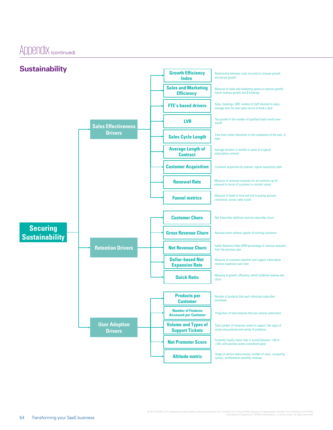Appendix (continued)

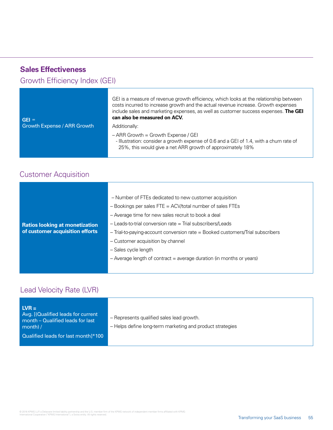| <b>Sales Effectiveness</b><br>Growth Efficiency Index (GEI) |                                                                                                                                                                                                                                                                                                                      |
|-------------------------------------------------------------|----------------------------------------------------------------------------------------------------------------------------------------------------------------------------------------------------------------------------------------------------------------------------------------------------------------------|
| $GEI =$<br><b>Growth Expense / ARR Growth</b>               | GEI is a measure of revenue growth efficiency, which looks at the relationship between<br>costs incurred to increase growth and the actual revenue increase. Growth expenses<br>include sales and marketing expenses, as well as customer success expenses. The GEI<br>can also be measured on ACV.<br>Additionally: |
|                                                             | $-$ ARR Growth = Growth Expense / GEI<br>- Illustration: consider a growth expense of 0.6 and a GEI of 1.4, with a churn rate of<br>25%, this would give a net ARR growth of approximately 18%                                                                                                                       |

# Customer Acquisition

|                                       | - Number of FTEs dedicated to new customer acquisition<br>- Bookings per sales FTE = ACV/total number of sales FTEs |
|---------------------------------------|---------------------------------------------------------------------------------------------------------------------|
|                                       | - Average time for new sales recruit to book a deal                                                                 |
| <b>Ratios looking at monetization</b> | - Leads-to-trial conversion rate = Trial subscribers/Leads                                                          |
| of customer acquisition efforts       | - Trial-to-paying-account conversion rate = Booked customers/Trial subscribers                                      |
|                                       | - Customer acquisition by channel                                                                                   |
|                                       | - Sales cycle length                                                                                                |
|                                       | $-$ Average length of contract $=$ average duration (in months or years)                                            |
|                                       |                                                                                                                     |

# Lead Velocity Rate (LVR)

| $LVR =$<br>Avg. [(Qualified leads for current<br>month – Qualified leads for last<br>$month$ / | - Represents qualified sales lead growth.<br>- Helps define long-term marketing and product strategies |
|------------------------------------------------------------------------------------------------|--------------------------------------------------------------------------------------------------------|
| Qualified leads for last month]*100                                                            |                                                                                                        |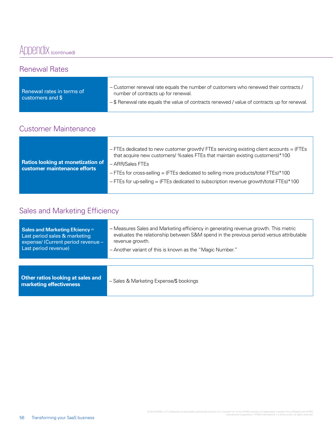# Appendix (continued)

### Renewal Rates

| Renewal rates in terms of | - Customer renewal rate equals the number of customers who renewed their contracts /        |
|---------------------------|---------------------------------------------------------------------------------------------|
| customers and $\mathsf S$ | number of contracts up for renewal.                                                         |
|                           | -\$ Renewal rate equals the value of contracts renewed / value of contracts up for renewal. |

# Customer Maintenance

| <b>Ratios looking at monetization of</b> | - FTEs dedicated to new customer growth/ FTEs servicing existing client accounts = (FTEs<br>that acquire new customers/ % sales FTEs that maintain existing customers) *100 |
|------------------------------------------|-----------------------------------------------------------------------------------------------------------------------------------------------------------------------------|
| customer maintenance efforts             | - ARR/Sales FTEs                                                                                                                                                            |
|                                          | $-$ FTEs for cross-selling = (FTEs dedicated to selling more products/total FTEs)*100                                                                                       |
|                                          | - FTEs for up-selling = (FTEs dedicated to subscription revenue growth/total FTEs)*100                                                                                      |
|                                          |                                                                                                                                                                             |

# Sales and Marketing Efficiency

| Sales and Marketing Efciency $=$                             | - Measures Sales and Marketing efficiency in generating revenue growth. This metric     |
|--------------------------------------------------------------|-----------------------------------------------------------------------------------------|
| Last period sales & marketing                                | evaluates the relationship between S&M spend in the previous period versus attributable |
| expense/ (Current period revenue -                           | revenue growth.                                                                         |
| Last period revenue)                                         | - Another variant of this is known as the "Magic Number."                               |
| Other ratios looking at sales and<br>marketing effectiveness | - Sales & Marketing Expense/\$ bookings                                                 |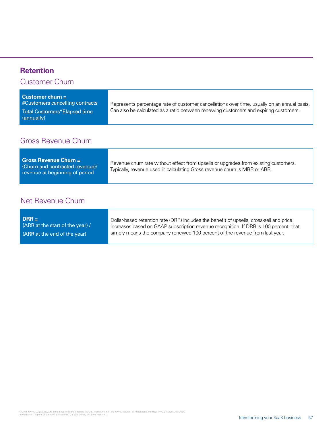# **Retention**

Customer Churn

| <b>Customer churn <math>=</math></b><br>#Customers cancelling contracts | Represents percentage rate of customer cancellations over time, usually on an annual basis. |
|-------------------------------------------------------------------------|---------------------------------------------------------------------------------------------|
| Total Customers*Elapsed time<br>(annually)                              | Can also be calculated as a ratio between renewing customers and expiring customers.        |

# Gross Revenue Churn

| <b>Gross Revenue Churn =</b><br>(Churn and contracted revenue)/<br>revenue at beginning of period | Revenue churn rate without effect from upsells or upgrades from existing customers.<br>Typically, revenue used in calculating Gross revenue churn is MRR or ARR. |
|---------------------------------------------------------------------------------------------------|------------------------------------------------------------------------------------------------------------------------------------------------------------------|
|---------------------------------------------------------------------------------------------------|------------------------------------------------------------------------------------------------------------------------------------------------------------------|

# Net Revenue Churn

| Dollar-based retention rate (DRR) includes the benefit of upsells, cross-sell and price<br>(ARR at the start of the year) /<br>increases based on GAAP subscription revenue recognition. If DRR is 100 percent, that<br>simply means the company renewed 100 percent of the revenue from last year.<br>(ARR at the end of the year) |
|-------------------------------------------------------------------------------------------------------------------------------------------------------------------------------------------------------------------------------------------------------------------------------------------------------------------------------------|
|-------------------------------------------------------------------------------------------------------------------------------------------------------------------------------------------------------------------------------------------------------------------------------------------------------------------------------------|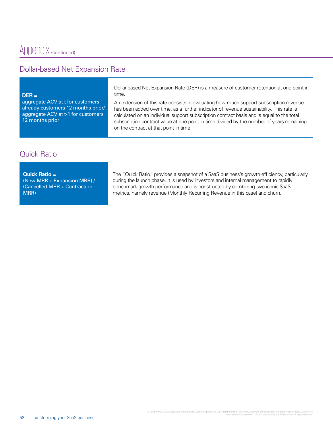# Dollar-based Net Expansion Rate

| $DER =$                                                                                                                         | - Dollar-based Net Expansion Rate (DER) is a measure of customer retention at one point in<br>time.                                                                                                                                                                                                                                                                                                                      |
|---------------------------------------------------------------------------------------------------------------------------------|--------------------------------------------------------------------------------------------------------------------------------------------------------------------------------------------------------------------------------------------------------------------------------------------------------------------------------------------------------------------------------------------------------------------------|
| aggregate ACV at t for customers<br>already customers 12 months prior/<br>aggregate ACV at t-1 for customers<br>12 months prior | - An extension of this rate consists in evaluating how much support subscription revenue<br>has been added over time, as a further indicator of revenue sustainability. This rate is<br>calculated on an individual support subscription contract basis and is equal to the total<br>subscription contract value at one point in time divided by the number of years remaining<br>on the contract at that point in time. |
|                                                                                                                                 |                                                                                                                                                                                                                                                                                                                                                                                                                          |

# Quick Ratio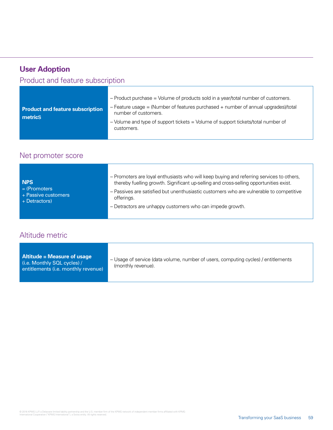| <b>User Adoption</b>                               |                                                                                                                                                                                                                                                                                                         |
|----------------------------------------------------|---------------------------------------------------------------------------------------------------------------------------------------------------------------------------------------------------------------------------------------------------------------------------------------------------------|
| Product and feature subscription                   |                                                                                                                                                                                                                                                                                                         |
| <b>Product and feature subscription</b><br>metrics | - Product purchase = Volume of products sold in a year/total number of customers.<br>$-$ Feature usage $=$ (Number of features purchased $+$ number of annual upgrades)/total<br>number of customers.<br>- Volume and type of support tickets = Volume of support tickets/total number of<br>customers. |

# Net promoter score

| NPS<br>$=$ (Promoters)<br>+ Passive customers<br>$+$ Detractors) | - Promoters are loyal enthusiasts who will keep buying and referring services to others,<br>thereby fuelling growth. Significant up-selling and cross-selling opportunities exist.<br>- Passives are satisfied but unenthusiastic customers who are vulnerable to competitive<br>offerings.<br>- Detractors are unhappy customers who can impede growth. |
|------------------------------------------------------------------|----------------------------------------------------------------------------------------------------------------------------------------------------------------------------------------------------------------------------------------------------------------------------------------------------------------------------------------------------------|
|------------------------------------------------------------------|----------------------------------------------------------------------------------------------------------------------------------------------------------------------------------------------------------------------------------------------------------------------------------------------------------------------------------------------------------|

# Altitude metric

| Altitude = Measure of usage<br>$(i.e.$ Monthly SQL cycles) /<br>entitlements (i.e. monthly revenue) | - Usage of service (data volume, number of users, computing cycles) / entitlements<br>(monthly revenue). |
|-----------------------------------------------------------------------------------------------------|----------------------------------------------------------------------------------------------------------|
|                                                                                                     |                                                                                                          |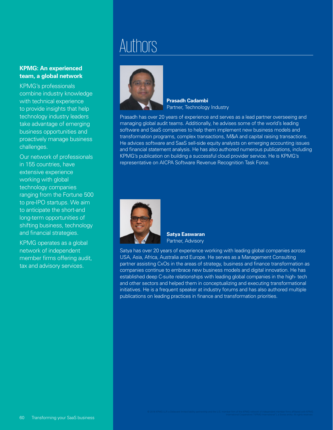### **KPMG: An experienced team, a global network**

KPMG's professionals combine industry knowledge with technical experience to provide insights that help technology industry leaders take advantage of emerging business opportunities and proactively manage business challenges.

Our network of professionals in 155 countries, have extensive experience working with global technology companies ranging from the Fortune 500 to pre-IPO startups. We aim to anticipate the short-and long-term opportunities of shifting business, technology and financial strategies.

KPMG operates as a global network of independent member firms offering audit, tax and advisory services.

# **Authors**



**Prasadh Cadambi** Partner, Technology Industry

Prasadh has over 20 years of experience and serves as a lead partner overseeing and managing global audit teams. Additionally, he advises some of the world's leading software and SaaS companies to help them implement new business models and transformation programs, complex transactions, M&A and capital raising transactions. He advices software and SaaS sell-side equity analysts on emerging accounting issues and financial statement analysis. He has also authored numerous publications, including KPMG's publication on building a successful cloud provider service. He is KPMG's representative on AICPA Software Revenue Recognition Task Force.



**Satya Easwaran** Partner, Advisory

Satya has over 20 years of experience working with leading global companies across USA, Asia, Africa, Australia and Europe. He serves as a Management Consulting partner assisting CxOs in the areas of strategy, business and finance transformation as companies continue to embrace new business models and digital innovation. He has established deep C-suite relationships with leading global companies in the high- tech and other sectors and helped them in conceptualizing and executing transformational initiatives. He is a frequent speaker at industry forums and has also authored multiple publications on leading practices in finance and transformation priorities.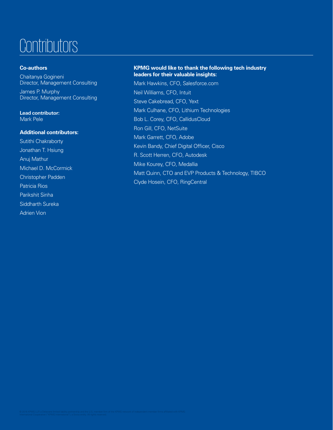# **Contributors**

### **Co-authors**

Chaitanya Gogineni Director, Management Consulting

James P. Murphy Director, Management Consulting

Lead contributor: Mark Pele

### **Additional contributors:**

Sutithi Chakraborty Jonathan T. Hsiung Anuj Mathur Michael D. McCormick Christopher Padden Patricia Rios Parikshit Sinha Siddharth Sureka Adrien Vion

#### **KPMG would like to thank the following tech industry leaders for their valuable insights:**

Mark Hawkins, CFO, Salesforce.com Neil Williams, CFO, Intuit Steve Cakebread, CFO, Yext Mark Culhane, CFO, Lithium Technologies Bob L. Corey, CFO, CallidusCloud Ron Gill, CFO, NetSuite Mark Garrett, CFO, Adobe Kevin Bandy, Chief Digital Officer, Cisco R. Scott Herren, CFO, Autodesk Mike Kourey, CFO, Medallia Matt Quinn, CTO and EVP Products & Technology, TIBCO Clyde Hosein, CFO, RingCentral